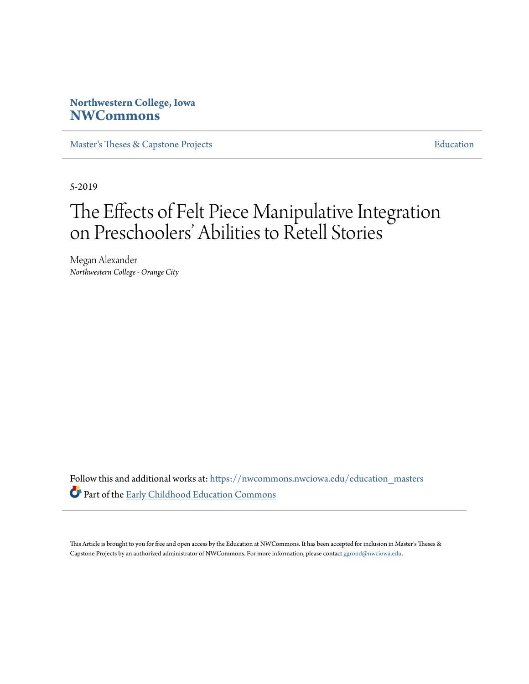# **Northwestern College, Iowa [NWCommons](https://nwcommons.nwciowa.edu?utm_source=nwcommons.nwciowa.edu%2Feducation_masters%2F126&utm_medium=PDF&utm_campaign=PDFCoverPages)**

[Master's Theses & Capstone Projects](https://nwcommons.nwciowa.edu/education_masters?utm_source=nwcommons.nwciowa.edu%2Feducation_masters%2F126&utm_medium=PDF&utm_campaign=PDFCoverPages) **[Education](https://nwcommons.nwciowa.edu/education?utm_source=nwcommons.nwciowa.edu%2Feducation_masters%2F126&utm_medium=PDF&utm_campaign=PDFCoverPages)** 

5-2019

# The Effects of Felt Piece Manipulative Integration on Preschoolers' Abilities to Retell Stories

Megan Alexander *Northwestern College - Orange City*

Follow this and additional works at: [https://nwcommons.nwciowa.edu/education\\_masters](https://nwcommons.nwciowa.edu/education_masters?utm_source=nwcommons.nwciowa.edu%2Feducation_masters%2F126&utm_medium=PDF&utm_campaign=PDFCoverPages) Part of the [Early Childhood Education Commons](http://network.bepress.com/hgg/discipline/1377?utm_source=nwcommons.nwciowa.edu%2Feducation_masters%2F126&utm_medium=PDF&utm_campaign=PDFCoverPages)

This Article is brought to you for free and open access by the Education at NWCommons. It has been accepted for inclusion in Master's Theses & Capstone Projects by an authorized administrator of NWCommons. For more information, please contact [ggrond@nwciowa.edu.](mailto:ggrond@nwciowa.edu)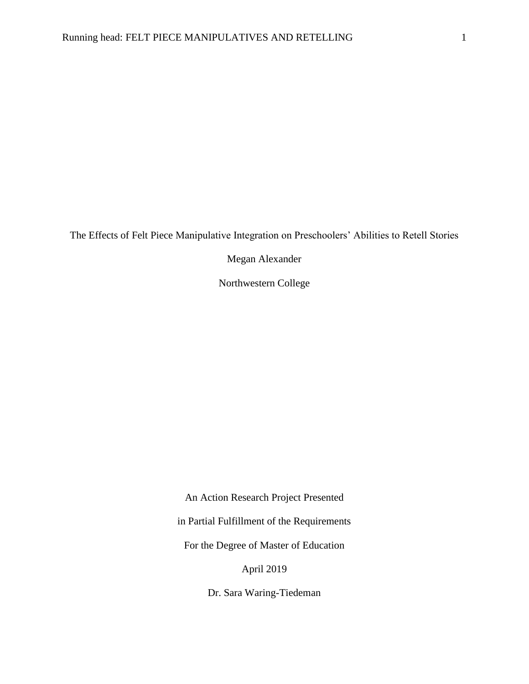The Effects of Felt Piece Manipulative Integration on Preschoolers' Abilities to Retell Stories

Megan Alexander

Northwestern College

An Action Research Project Presented in Partial Fulfillment of the Requirements For the Degree of Master of Education April 2019

Dr. Sara Waring-Tiedeman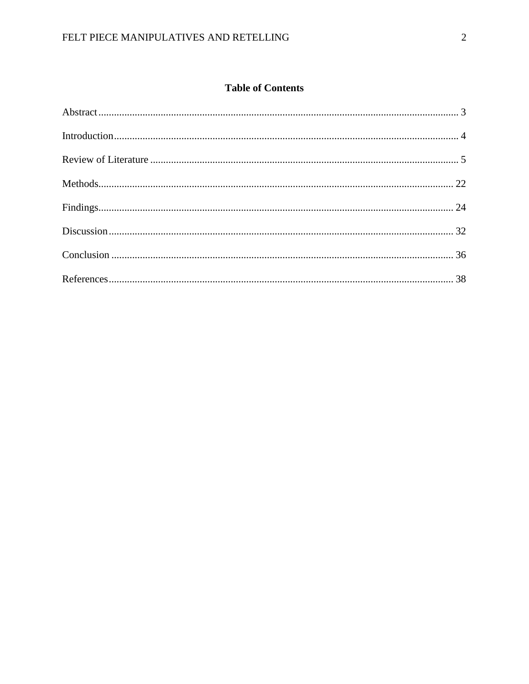# **Table of Contents**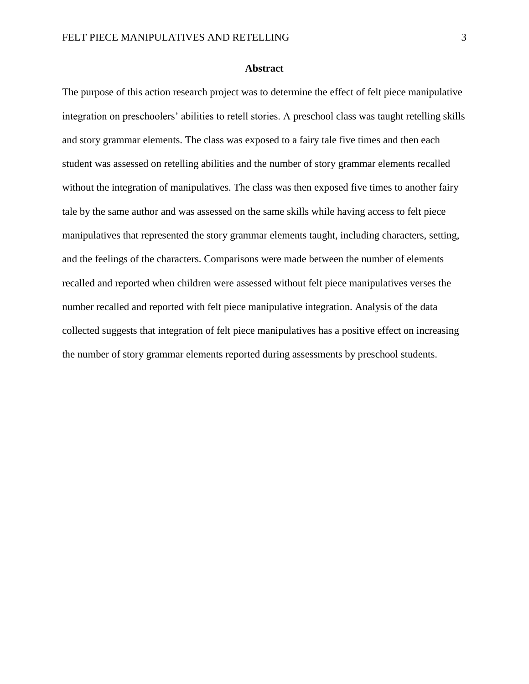#### **Abstract**

The purpose of this action research project was to determine the effect of felt piece manipulative integration on preschoolers' abilities to retell stories. A preschool class was taught retelling skills and story grammar elements. The class was exposed to a fairy tale five times and then each student was assessed on retelling abilities and the number of story grammar elements recalled without the integration of manipulatives. The class was then exposed five times to another fairy tale by the same author and was assessed on the same skills while having access to felt piece manipulatives that represented the story grammar elements taught, including characters, setting, and the feelings of the characters. Comparisons were made between the number of elements recalled and reported when children were assessed without felt piece manipulatives verses the number recalled and reported with felt piece manipulative integration. Analysis of the data collected suggests that integration of felt piece manipulatives has a positive effect on increasing the number of story grammar elements reported during assessments by preschool students.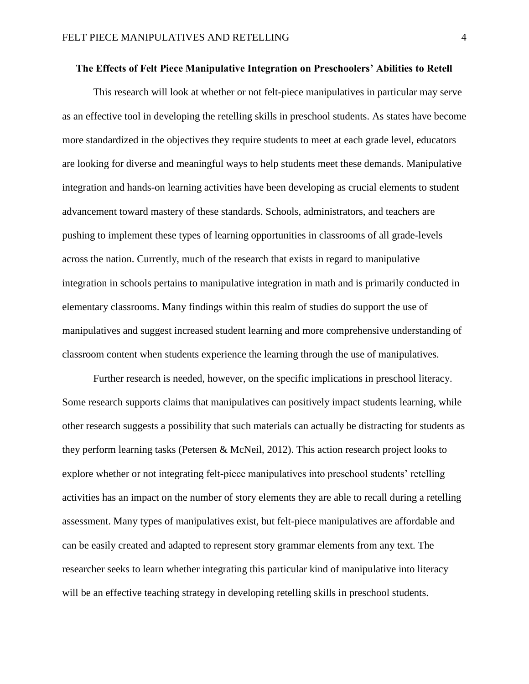#### **The Effects of Felt Piece Manipulative Integration on Preschoolers' Abilities to Retell**

This research will look at whether or not felt-piece manipulatives in particular may serve as an effective tool in developing the retelling skills in preschool students. As states have become more standardized in the objectives they require students to meet at each grade level, educators are looking for diverse and meaningful ways to help students meet these demands. Manipulative integration and hands-on learning activities have been developing as crucial elements to student advancement toward mastery of these standards. Schools, administrators, and teachers are pushing to implement these types of learning opportunities in classrooms of all grade-levels across the nation. Currently, much of the research that exists in regard to manipulative integration in schools pertains to manipulative integration in math and is primarily conducted in elementary classrooms. Many findings within this realm of studies do support the use of manipulatives and suggest increased student learning and more comprehensive understanding of classroom content when students experience the learning through the use of manipulatives.

Further research is needed, however, on the specific implications in preschool literacy. Some research supports claims that manipulatives can positively impact students learning, while other research suggests a possibility that such materials can actually be distracting for students as they perform learning tasks (Petersen & McNeil, 2012). This action research project looks to explore whether or not integrating felt-piece manipulatives into preschool students' retelling activities has an impact on the number of story elements they are able to recall during a retelling assessment. Many types of manipulatives exist, but felt-piece manipulatives are affordable and can be easily created and adapted to represent story grammar elements from any text. The researcher seeks to learn whether integrating this particular kind of manipulative into literacy will be an effective teaching strategy in developing retelling skills in preschool students.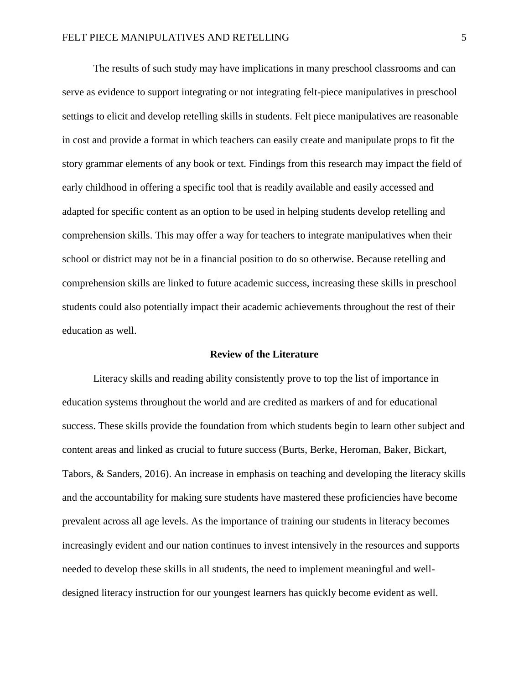The results of such study may have implications in many preschool classrooms and can serve as evidence to support integrating or not integrating felt-piece manipulatives in preschool settings to elicit and develop retelling skills in students. Felt piece manipulatives are reasonable in cost and provide a format in which teachers can easily create and manipulate props to fit the story grammar elements of any book or text. Findings from this research may impact the field of early childhood in offering a specific tool that is readily available and easily accessed and adapted for specific content as an option to be used in helping students develop retelling and comprehension skills. This may offer a way for teachers to integrate manipulatives when their school or district may not be in a financial position to do so otherwise. Because retelling and comprehension skills are linked to future academic success, increasing these skills in preschool students could also potentially impact their academic achievements throughout the rest of their education as well.

### **Review of the Literature**

Literacy skills and reading ability consistently prove to top the list of importance in education systems throughout the world and are credited as markers of and for educational success. These skills provide the foundation from which students begin to learn other subject and content areas and linked as crucial to future success (Burts, Berke, Heroman, Baker, Bickart, Tabors, & Sanders, 2016). An increase in emphasis on teaching and developing the literacy skills and the accountability for making sure students have mastered these proficiencies have become prevalent across all age levels. As the importance of training our students in literacy becomes increasingly evident and our nation continues to invest intensively in the resources and supports needed to develop these skills in all students, the need to implement meaningful and welldesigned literacy instruction for our youngest learners has quickly become evident as well.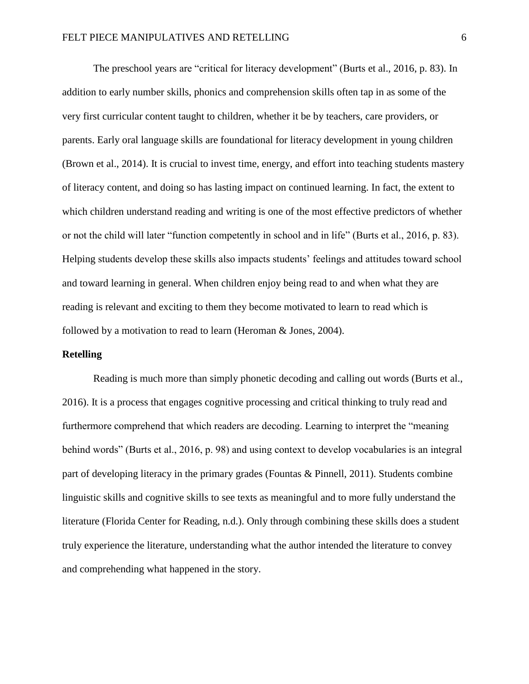The preschool years are "critical for literacy development" (Burts et al., 2016, p. 83). In addition to early number skills, phonics and comprehension skills often tap in as some of the very first curricular content taught to children, whether it be by teachers, care providers, or parents. Early oral language skills are foundational for literacy development in young children (Brown et al., 2014). It is crucial to invest time, energy, and effort into teaching students mastery of literacy content, and doing so has lasting impact on continued learning. In fact, the extent to which children understand reading and writing is one of the most effective predictors of whether or not the child will later "function competently in school and in life" (Burts et al., 2016, p. 83). Helping students develop these skills also impacts students' feelings and attitudes toward school and toward learning in general. When children enjoy being read to and when what they are reading is relevant and exciting to them they become motivated to learn to read which is followed by a motivation to read to learn (Heroman & Jones, 2004).

#### **Retelling**

Reading is much more than simply phonetic decoding and calling out words (Burts et al., 2016). It is a process that engages cognitive processing and critical thinking to truly read and furthermore comprehend that which readers are decoding. Learning to interpret the "meaning behind words" (Burts et al., 2016, p. 98) and using context to develop vocabularies is an integral part of developing literacy in the primary grades (Fountas & Pinnell, 2011). Students combine linguistic skills and cognitive skills to see texts as meaningful and to more fully understand the literature (Florida Center for Reading, n.d.). Only through combining these skills does a student truly experience the literature, understanding what the author intended the literature to convey and comprehending what happened in the story.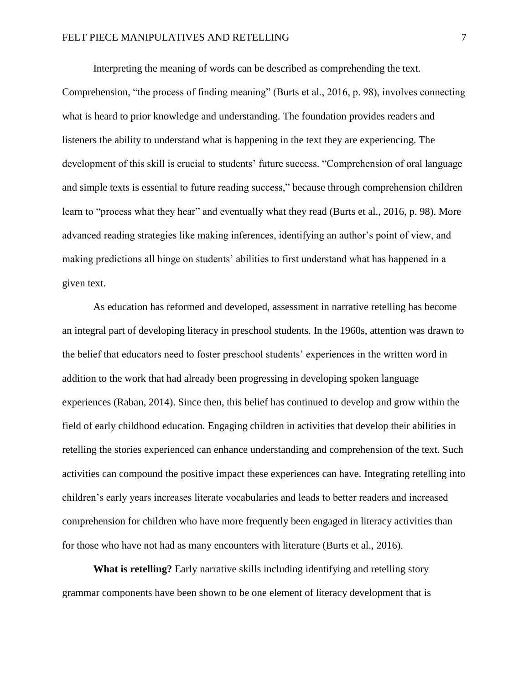Interpreting the meaning of words can be described as comprehending the text.

Comprehension, "the process of finding meaning" (Burts et al., 2016, p. 98), involves connecting what is heard to prior knowledge and understanding. The foundation provides readers and listeners the ability to understand what is happening in the text they are experiencing. The development of this skill is crucial to students' future success. "Comprehension of oral language and simple texts is essential to future reading success," because through comprehension children learn to "process what they hear" and eventually what they read (Burts et al., 2016, p. 98). More advanced reading strategies like making inferences, identifying an author's point of view, and making predictions all hinge on students' abilities to first understand what has happened in a given text.

As education has reformed and developed, assessment in narrative retelling has become an integral part of developing literacy in preschool students. In the 1960s, attention was drawn to the belief that educators need to foster preschool students' experiences in the written word in addition to the work that had already been progressing in developing spoken language experiences (Raban, 2014). Since then, this belief has continued to develop and grow within the field of early childhood education. Engaging children in activities that develop their abilities in retelling the stories experienced can enhance understanding and comprehension of the text. Such activities can compound the positive impact these experiences can have. Integrating retelling into children's early years increases literate vocabularies and leads to better readers and increased comprehension for children who have more frequently been engaged in literacy activities than for those who have not had as many encounters with literature (Burts et al., 2016).

**What is retelling?** Early narrative skills including identifying and retelling story grammar components have been shown to be one element of literacy development that is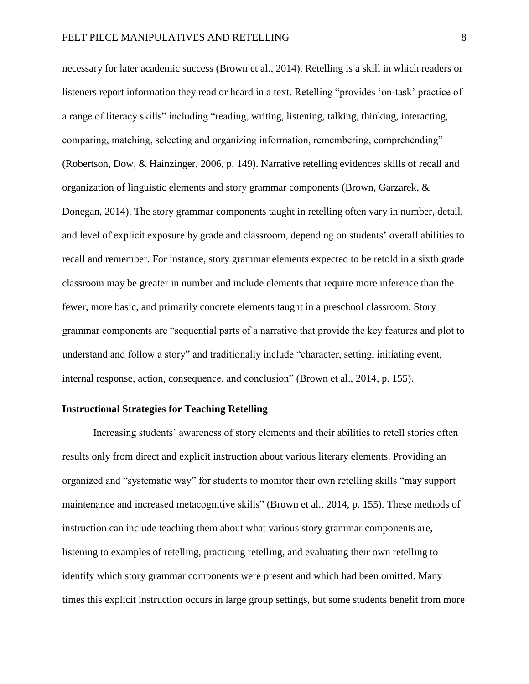necessary for later academic success (Brown et al., 2014). Retelling is a skill in which readers or listeners report information they read or heard in a text. Retelling "provides 'on-task' practice of a range of literacy skills" including "reading, writing, listening, talking, thinking, interacting, comparing, matching, selecting and organizing information, remembering, comprehending" (Robertson, Dow, & Hainzinger, 2006, p. 149). Narrative retelling evidences skills of recall and organization of linguistic elements and story grammar components (Brown, Garzarek, & Donegan, 2014). The story grammar components taught in retelling often vary in number, detail, and level of explicit exposure by grade and classroom, depending on students' overall abilities to recall and remember. For instance, story grammar elements expected to be retold in a sixth grade classroom may be greater in number and include elements that require more inference than the fewer, more basic, and primarily concrete elements taught in a preschool classroom. Story grammar components are "sequential parts of a narrative that provide the key features and plot to understand and follow a story" and traditionally include "character, setting, initiating event, internal response, action, consequence, and conclusion" (Brown et al., 2014, p. 155).

# **Instructional Strategies for Teaching Retelling**

Increasing students' awareness of story elements and their abilities to retell stories often results only from direct and explicit instruction about various literary elements. Providing an organized and "systematic way" for students to monitor their own retelling skills "may support maintenance and increased metacognitive skills" (Brown et al., 2014, p. 155). These methods of instruction can include teaching them about what various story grammar components are, listening to examples of retelling, practicing retelling, and evaluating their own retelling to identify which story grammar components were present and which had been omitted. Many times this explicit instruction occurs in large group settings, but some students benefit from more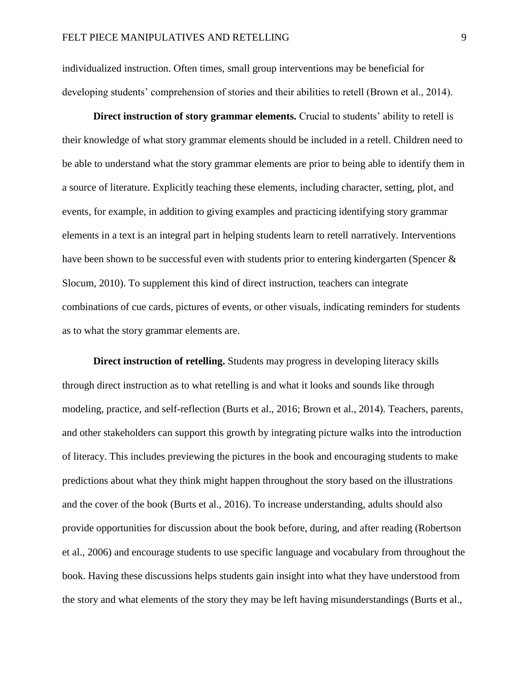individualized instruction. Often times, small group interventions may be beneficial for developing students' comprehension of stories and their abilities to retell (Brown et al., 2014).

**Direct instruction of story grammar elements.** Crucial to students' ability to retell is their knowledge of what story grammar elements should be included in a retell. Children need to be able to understand what the story grammar elements are prior to being able to identify them in a source of literature. Explicitly teaching these elements, including character, setting, plot, and events, for example, in addition to giving examples and practicing identifying story grammar elements in a text is an integral part in helping students learn to retell narratively. Interventions have been shown to be successful even with students prior to entering kindergarten (Spencer & Slocum, 2010). To supplement this kind of direct instruction, teachers can integrate combinations of cue cards, pictures of events, or other visuals, indicating reminders for students as to what the story grammar elements are.

**Direct instruction of retelling.** Students may progress in developing literacy skills through direct instruction as to what retelling is and what it looks and sounds like through modeling, practice, and self-reflection (Burts et al., 2016; Brown et al., 2014). Teachers, parents, and other stakeholders can support this growth by integrating picture walks into the introduction of literacy. This includes previewing the pictures in the book and encouraging students to make predictions about what they think might happen throughout the story based on the illustrations and the cover of the book (Burts et al., 2016). To increase understanding, adults should also provide opportunities for discussion about the book before, during, and after reading (Robertson et al., 2006) and encourage students to use specific language and vocabulary from throughout the book. Having these discussions helps students gain insight into what they have understood from the story and what elements of the story they may be left having misunderstandings (Burts et al.,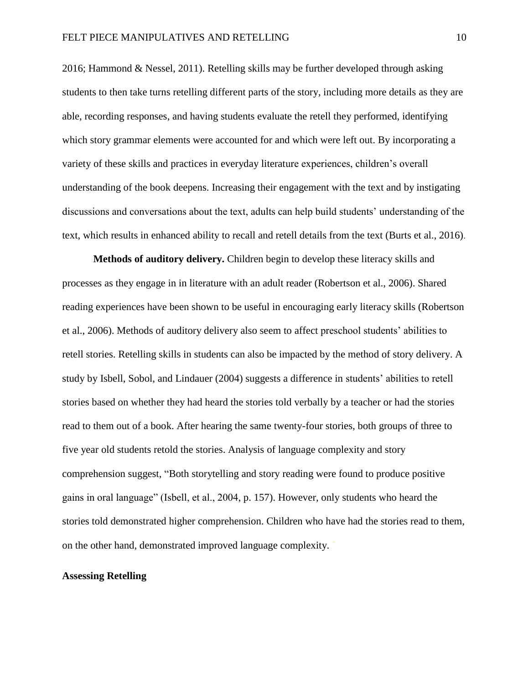2016; Hammond & Nessel, 2011). Retelling skills may be further developed through asking students to then take turns retelling different parts of the story, including more details as they are able, recording responses, and having students evaluate the retell they performed, identifying which story grammar elements were accounted for and which were left out. By incorporating a variety of these skills and practices in everyday literature experiences, children's overall understanding of the book deepens. Increasing their engagement with the text and by instigating discussions and conversations about the text, adults can help build students' understanding of the text, which results in enhanced ability to recall and retell details from the text (Burts et al., 2016).

**Methods of auditory delivery.** Children begin to develop these literacy skills and processes as they engage in in literature with an adult reader (Robertson et al., 2006). Shared reading experiences have been shown to be useful in encouraging early literacy skills (Robertson et al., 2006). Methods of auditory delivery also seem to affect preschool students' abilities to retell stories. Retelling skills in students can also be impacted by the method of story delivery. A study by Isbell, Sobol, and Lindauer (2004) suggests a difference in students' abilities to retell stories based on whether they had heard the stories told verbally by a teacher or had the stories read to them out of a book. After hearing the same twenty-four stories, both groups of three to five year old students retold the stories. Analysis of language complexity and story comprehension suggest, "Both storytelling and story reading were found to produce positive gains in oral language" (Isbell, et al., 2004, p. 157). However, only students who heard the stories told demonstrated higher comprehension. Children who have had the stories read to them, on the other hand, demonstrated improved language complexity. **`**

# **Assessing Retelling**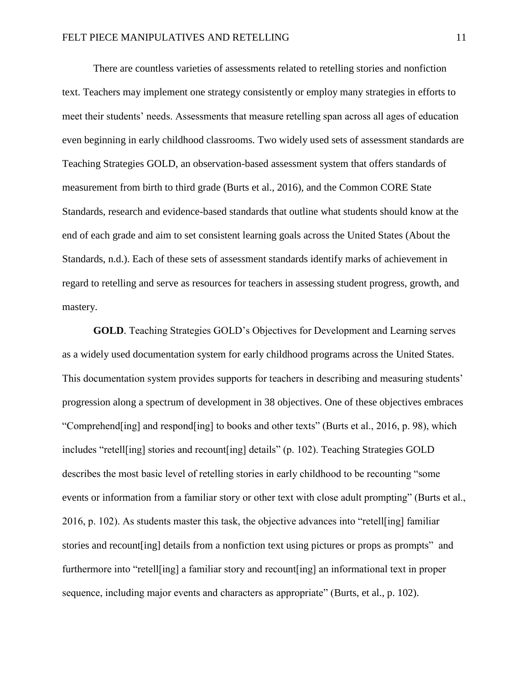There are countless varieties of assessments related to retelling stories and nonfiction text. Teachers may implement one strategy consistently or employ many strategies in efforts to meet their students' needs. Assessments that measure retelling span across all ages of education even beginning in early childhood classrooms. Two widely used sets of assessment standards are Teaching Strategies GOLD, an observation-based assessment system that offers standards of measurement from birth to third grade (Burts et al., 2016), and the Common CORE State Standards, research and evidence-based standards that outline what students should know at the end of each grade and aim to set consistent learning goals across the United States (About the Standards, n.d.). Each of these sets of assessment standards identify marks of achievement in regard to retelling and serve as resources for teachers in assessing student progress, growth, and mastery.

**GOLD**. Teaching Strategies GOLD's Objectives for Development and Learning serves as a widely used documentation system for early childhood programs across the United States. This documentation system provides supports for teachers in describing and measuring students' progression along a spectrum of development in 38 objectives. One of these objectives embraces "Comprehend[ing] and respond[ing] to books and other texts" (Burts et al., 2016, p. 98), which includes "retell[ing] stories and recount[ing] details" (p. 102). Teaching Strategies GOLD describes the most basic level of retelling stories in early childhood to be recounting "some events or information from a familiar story or other text with close adult prompting" (Burts et al., 2016, p. 102). As students master this task, the objective advances into "retell[ing] familiar stories and recount[ing] details from a nonfiction text using pictures or props as prompts" and furthermore into "retell[ing] a familiar story and recount[ing] an informational text in proper sequence, including major events and characters as appropriate" (Burts, et al., p. 102).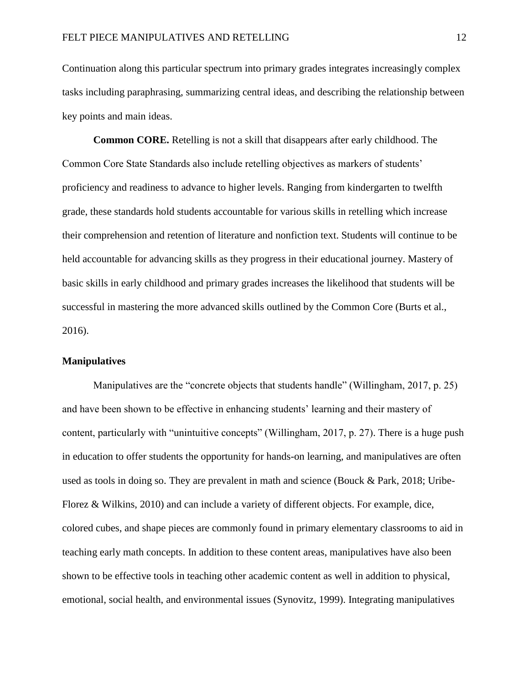Continuation along this particular spectrum into primary grades integrates increasingly complex tasks including paraphrasing, summarizing central ideas, and describing the relationship between key points and main ideas.

**Common CORE.** Retelling is not a skill that disappears after early childhood. The Common Core State Standards also include retelling objectives as markers of students' proficiency and readiness to advance to higher levels. Ranging from kindergarten to twelfth grade, these standards hold students accountable for various skills in retelling which increase their comprehension and retention of literature and nonfiction text. Students will continue to be held accountable for advancing skills as they progress in their educational journey. Mastery of basic skills in early childhood and primary grades increases the likelihood that students will be successful in mastering the more advanced skills outlined by the Common Core (Burts et al., 2016).

# **Manipulatives**

Manipulatives are the "concrete objects that students handle" (Willingham, 2017, p. 25) and have been shown to be effective in enhancing students' learning and their mastery of content, particularly with "unintuitive concepts" (Willingham, 2017, p. 27). There is a huge push in education to offer students the opportunity for hands-on learning, and manipulatives are often used as tools in doing so. They are prevalent in math and science (Bouck & Park, 2018; Uribe-Florez & Wilkins, 2010) and can include a variety of different objects. For example, dice, colored cubes, and shape pieces are commonly found in primary elementary classrooms to aid in teaching early math concepts. In addition to these content areas, manipulatives have also been shown to be effective tools in teaching other academic content as well in addition to physical, emotional, social health, and environmental issues (Synovitz, 1999). Integrating manipulatives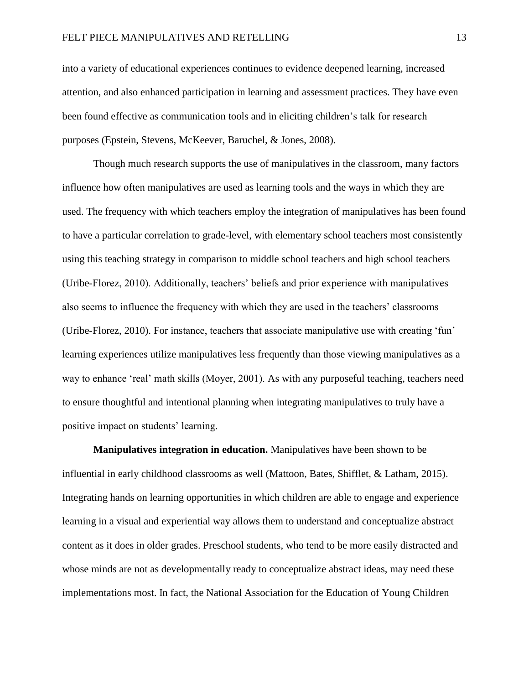into a variety of educational experiences continues to evidence deepened learning, increased attention, and also enhanced participation in learning and assessment practices. They have even been found effective as communication tools and in eliciting children's talk for research purposes (Epstein, Stevens, McKeever, Baruchel, & Jones, 2008).

Though much research supports the use of manipulatives in the classroom, many factors influence how often manipulatives are used as learning tools and the ways in which they are used. The frequency with which teachers employ the integration of manipulatives has been found to have a particular correlation to grade-level, with elementary school teachers most consistently using this teaching strategy in comparison to middle school teachers and high school teachers (Uribe-Florez, 2010). Additionally, teachers' beliefs and prior experience with manipulatives also seems to influence the frequency with which they are used in the teachers' classrooms (Uribe-Florez, 2010). For instance, teachers that associate manipulative use with creating 'fun' learning experiences utilize manipulatives less frequently than those viewing manipulatives as a way to enhance 'real' math skills (Moyer, 2001). As with any purposeful teaching, teachers need to ensure thoughtful and intentional planning when integrating manipulatives to truly have a positive impact on students' learning.

**Manipulatives integration in education.** Manipulatives have been shown to be influential in early childhood classrooms as well (Mattoon, Bates, Shifflet, & Latham, 2015). Integrating hands on learning opportunities in which children are able to engage and experience learning in a visual and experiential way allows them to understand and conceptualize abstract content as it does in older grades. Preschool students, who tend to be more easily distracted and whose minds are not as developmentally ready to conceptualize abstract ideas, may need these implementations most. In fact, the National Association for the Education of Young Children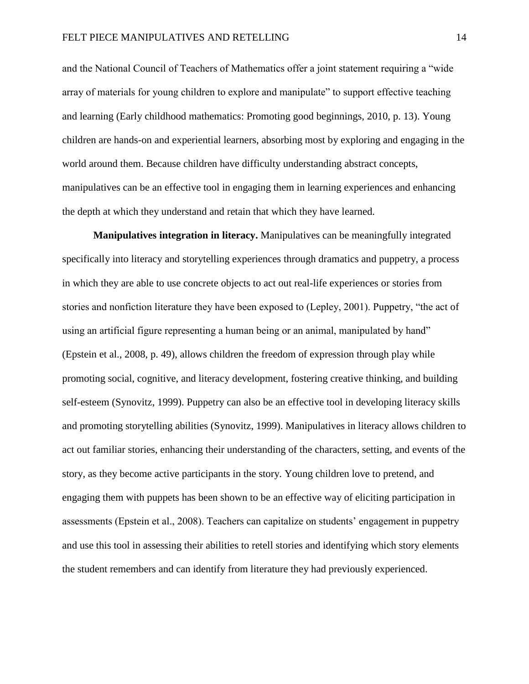and the National Council of Teachers of Mathematics offer a joint statement requiring a "wide array of materials for young children to explore and manipulate" to support effective teaching and learning (Early childhood mathematics: Promoting good beginnings, 2010, p. 13). Young children are hands-on and experiential learners, absorbing most by exploring and engaging in the world around them. Because children have difficulty understanding abstract concepts, manipulatives can be an effective tool in engaging them in learning experiences and enhancing the depth at which they understand and retain that which they have learned.

**Manipulatives integration in literacy.** Manipulatives can be meaningfully integrated specifically into literacy and storytelling experiences through dramatics and puppetry, a process in which they are able to use concrete objects to act out real-life experiences or stories from stories and nonfiction literature they have been exposed to (Lepley, 2001). Puppetry, "the act of using an artificial figure representing a human being or an animal, manipulated by hand" (Epstein et al., 2008, p. 49), allows children the freedom of expression through play while promoting social, cognitive, and literacy development, fostering creative thinking, and building self-esteem (Synovitz, 1999). Puppetry can also be an effective tool in developing literacy skills and promoting storytelling abilities (Synovitz, 1999). Manipulatives in literacy allows children to act out familiar stories, enhancing their understanding of the characters, setting, and events of the story, as they become active participants in the story. Young children love to pretend, and engaging them with puppets has been shown to be an effective way of eliciting participation in assessments (Epstein et al., 2008). Teachers can capitalize on students' engagement in puppetry and use this tool in assessing their abilities to retell stories and identifying which story elements the student remembers and can identify from literature they had previously experienced.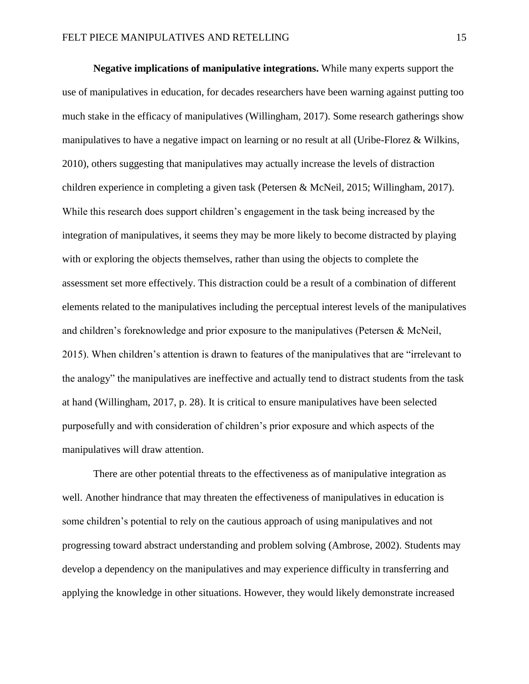**Negative implications of manipulative integrations.** While many experts support the use of manipulatives in education, for decades researchers have been warning against putting too much stake in the efficacy of manipulatives (Willingham, 2017). Some research gatherings show manipulatives to have a negative impact on learning or no result at all (Uribe-Florez & Wilkins, 2010), others suggesting that manipulatives may actually increase the levels of distraction children experience in completing a given task (Petersen & McNeil, 2015; Willingham, 2017). While this research does support children's engagement in the task being increased by the integration of manipulatives, it seems they may be more likely to become distracted by playing with or exploring the objects themselves, rather than using the objects to complete the assessment set more effectively. This distraction could be a result of a combination of different elements related to the manipulatives including the perceptual interest levels of the manipulatives and children's foreknowledge and prior exposure to the manipulatives (Petersen & McNeil, 2015). When children's attention is drawn to features of the manipulatives that are "irrelevant to the analogy" the manipulatives are ineffective and actually tend to distract students from the task at hand (Willingham, 2017, p. 28). It is critical to ensure manipulatives have been selected purposefully and with consideration of children's prior exposure and which aspects of the manipulatives will draw attention.

There are other potential threats to the effectiveness as of manipulative integration as well. Another hindrance that may threaten the effectiveness of manipulatives in education is some children's potential to rely on the cautious approach of using manipulatives and not progressing toward abstract understanding and problem solving (Ambrose, 2002). Students may develop a dependency on the manipulatives and may experience difficulty in transferring and applying the knowledge in other situations. However, they would likely demonstrate increased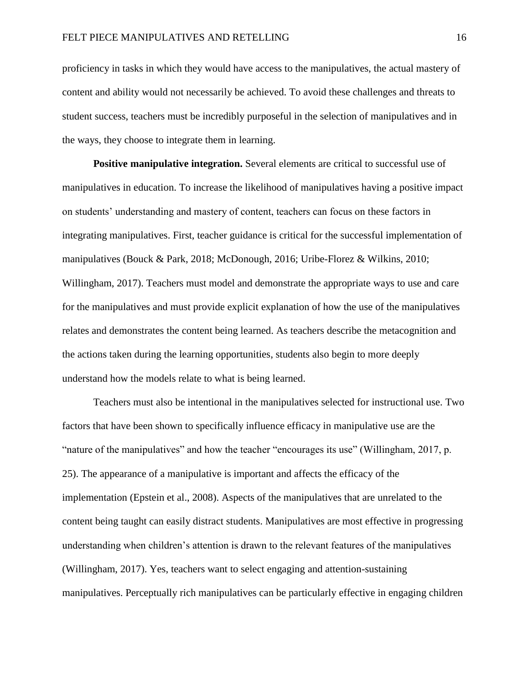proficiency in tasks in which they would have access to the manipulatives, the actual mastery of content and ability would not necessarily be achieved. To avoid these challenges and threats to student success, teachers must be incredibly purposeful in the selection of manipulatives and in the ways, they choose to integrate them in learning.

**Positive manipulative integration.** Several elements are critical to successful use of manipulatives in education. To increase the likelihood of manipulatives having a positive impact on students' understanding and mastery of content, teachers can focus on these factors in integrating manipulatives. First, teacher guidance is critical for the successful implementation of manipulatives (Bouck & Park, 2018; McDonough, 2016; Uribe-Florez & Wilkins, 2010; Willingham, 2017). Teachers must model and demonstrate the appropriate ways to use and care for the manipulatives and must provide explicit explanation of how the use of the manipulatives relates and demonstrates the content being learned. As teachers describe the metacognition and the actions taken during the learning opportunities, students also begin to more deeply understand how the models relate to what is being learned.

Teachers must also be intentional in the manipulatives selected for instructional use. Two factors that have been shown to specifically influence efficacy in manipulative use are the "nature of the manipulatives" and how the teacher "encourages its use" (Willingham, 2017, p. 25). The appearance of a manipulative is important and affects the efficacy of the implementation (Epstein et al., 2008). Aspects of the manipulatives that are unrelated to the content being taught can easily distract students. Manipulatives are most effective in progressing understanding when children's attention is drawn to the relevant features of the manipulatives (Willingham, 2017). Yes, teachers want to select engaging and attention-sustaining manipulatives. Perceptually rich manipulatives can be particularly effective in engaging children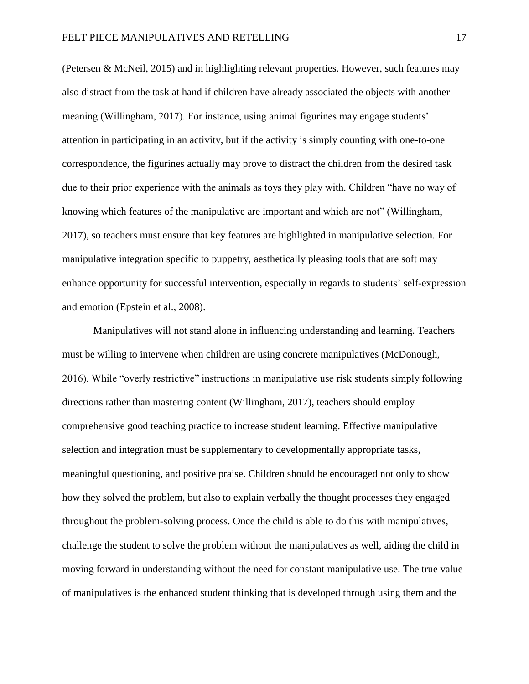(Petersen & McNeil, 2015) and in highlighting relevant properties. However, such features may also distract from the task at hand if children have already associated the objects with another meaning (Willingham, 2017). For instance, using animal figurines may engage students' attention in participating in an activity, but if the activity is simply counting with one-to-one correspondence, the figurines actually may prove to distract the children from the desired task due to their prior experience with the animals as toys they play with. Children "have no way of knowing which features of the manipulative are important and which are not" (Willingham, 2017), so teachers must ensure that key features are highlighted in manipulative selection. For manipulative integration specific to puppetry, aesthetically pleasing tools that are soft may enhance opportunity for successful intervention, especially in regards to students' self-expression and emotion (Epstein et al., 2008).

Manipulatives will not stand alone in influencing understanding and learning. Teachers must be willing to intervene when children are using concrete manipulatives (McDonough, 2016). While "overly restrictive" instructions in manipulative use risk students simply following directions rather than mastering content (Willingham, 2017), teachers should employ comprehensive good teaching practice to increase student learning. Effective manipulative selection and integration must be supplementary to developmentally appropriate tasks, meaningful questioning, and positive praise. Children should be encouraged not only to show how they solved the problem, but also to explain verbally the thought processes they engaged throughout the problem-solving process. Once the child is able to do this with manipulatives, challenge the student to solve the problem without the manipulatives as well, aiding the child in moving forward in understanding without the need for constant manipulative use. The true value of manipulatives is the enhanced student thinking that is developed through using them and the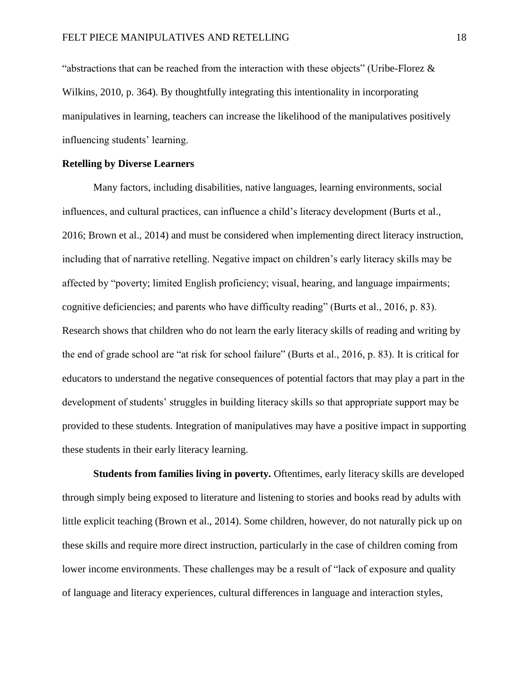"abstractions that can be reached from the interaction with these objects" (Uribe-Florez  $\&$ Wilkins, 2010, p. 364). By thoughtfully integrating this intentionality in incorporating manipulatives in learning, teachers can increase the likelihood of the manipulatives positively influencing students' learning.

# **Retelling by Diverse Learners**

Many factors, including disabilities, native languages, learning environments, social influences, and cultural practices, can influence a child's literacy development (Burts et al., 2016; Brown et al., 2014) and must be considered when implementing direct literacy instruction, including that of narrative retelling. Negative impact on children's early literacy skills may be affected by "poverty; limited English proficiency; visual, hearing, and language impairments; cognitive deficiencies; and parents who have difficulty reading" (Burts et al., 2016, p. 83). Research shows that children who do not learn the early literacy skills of reading and writing by the end of grade school are "at risk for school failure" (Burts et al., 2016, p. 83). It is critical for educators to understand the negative consequences of potential factors that may play a part in the development of students' struggles in building literacy skills so that appropriate support may be provided to these students. Integration of manipulatives may have a positive impact in supporting these students in their early literacy learning.

**Students from families living in poverty.** Oftentimes, early literacy skills are developed through simply being exposed to literature and listening to stories and books read by adults with little explicit teaching (Brown et al., 2014). Some children, however, do not naturally pick up on these skills and require more direct instruction, particularly in the case of children coming from lower income environments. These challenges may be a result of "lack of exposure and quality of language and literacy experiences, cultural differences in language and interaction styles,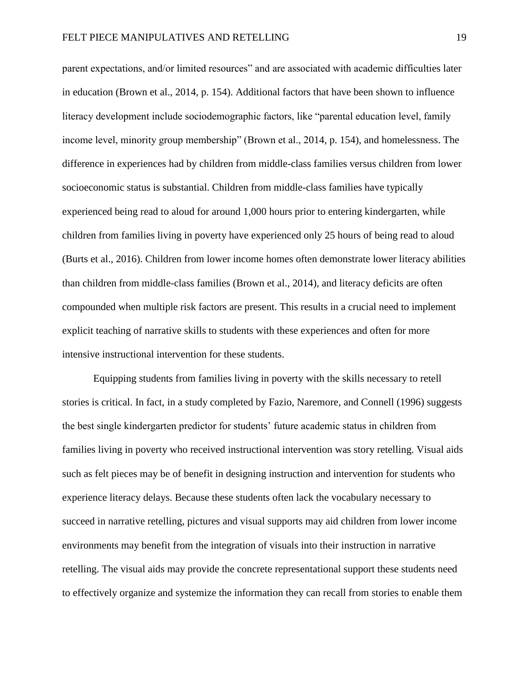parent expectations, and/or limited resources" and are associated with academic difficulties later in education (Brown et al., 2014, p. 154). Additional factors that have been shown to influence literacy development include sociodemographic factors, like "parental education level, family income level, minority group membership" (Brown et al., 2014, p. 154), and homelessness. The difference in experiences had by children from middle-class families versus children from lower socioeconomic status is substantial. Children from middle-class families have typically experienced being read to aloud for around 1,000 hours prior to entering kindergarten, while children from families living in poverty have experienced only 25 hours of being read to aloud (Burts et al., 2016). Children from lower income homes often demonstrate lower literacy abilities than children from middle-class families (Brown et al., 2014), and literacy deficits are often compounded when multiple risk factors are present. This results in a crucial need to implement explicit teaching of narrative skills to students with these experiences and often for more intensive instructional intervention for these students.

Equipping students from families living in poverty with the skills necessary to retell stories is critical. In fact, in a study completed by Fazio, Naremore, and Connell (1996) suggests the best single kindergarten predictor for students' future academic status in children from families living in poverty who received instructional intervention was story retelling. Visual aids such as felt pieces may be of benefit in designing instruction and intervention for students who experience literacy delays. Because these students often lack the vocabulary necessary to succeed in narrative retelling, pictures and visual supports may aid children from lower income environments may benefit from the integration of visuals into their instruction in narrative retelling. The visual aids may provide the concrete representational support these students need to effectively organize and systemize the information they can recall from stories to enable them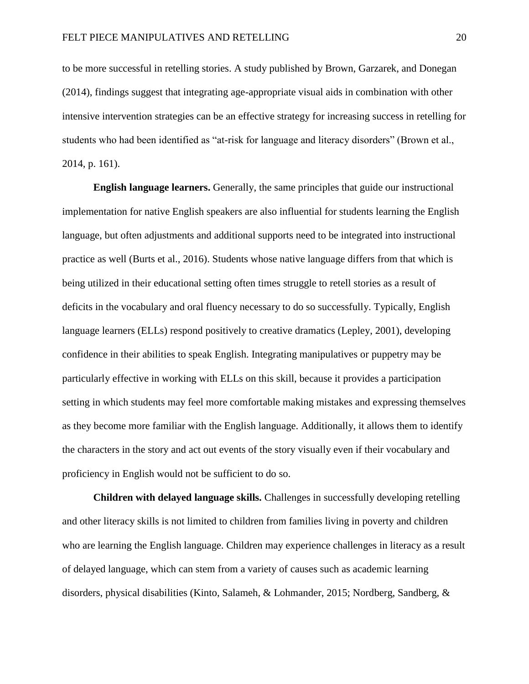to be more successful in retelling stories. A study published by Brown, Garzarek, and Donegan (2014), findings suggest that integrating age-appropriate visual aids in combination with other intensive intervention strategies can be an effective strategy for increasing success in retelling for students who had been identified as "at-risk for language and literacy disorders" (Brown et al., 2014, p. 161).

**English language learners.** Generally, the same principles that guide our instructional implementation for native English speakers are also influential for students learning the English language, but often adjustments and additional supports need to be integrated into instructional practice as well (Burts et al., 2016). Students whose native language differs from that which is being utilized in their educational setting often times struggle to retell stories as a result of deficits in the vocabulary and oral fluency necessary to do so successfully. Typically, English language learners (ELLs) respond positively to creative dramatics (Lepley, 2001), developing confidence in their abilities to speak English. Integrating manipulatives or puppetry may be particularly effective in working with ELLs on this skill, because it provides a participation setting in which students may feel more comfortable making mistakes and expressing themselves as they become more familiar with the English language. Additionally, it allows them to identify the characters in the story and act out events of the story visually even if their vocabulary and proficiency in English would not be sufficient to do so.

**Children with delayed language skills.** Challenges in successfully developing retelling and other literacy skills is not limited to children from families living in poverty and children who are learning the English language. Children may experience challenges in literacy as a result of delayed language, which can stem from a variety of causes such as academic learning disorders, physical disabilities (Kinto, Salameh, & Lohmander, 2015; Nordberg, Sandberg, &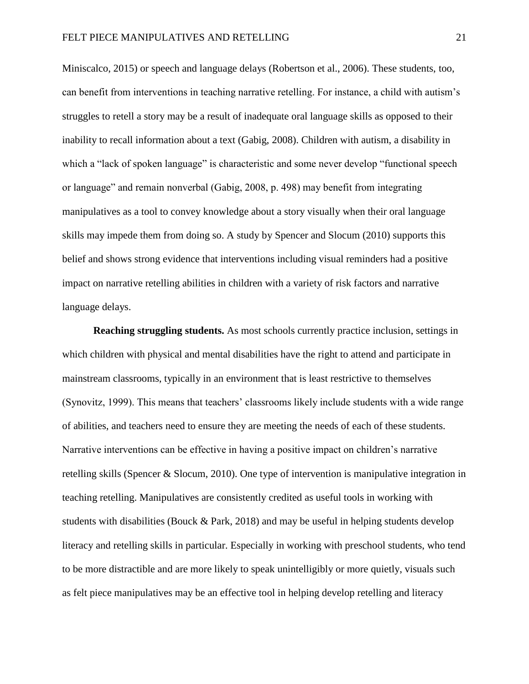Miniscalco, 2015) or speech and language delays (Robertson et al., 2006). These students, too, can benefit from interventions in teaching narrative retelling. For instance, a child with autism's struggles to retell a story may be a result of inadequate oral language skills as opposed to their inability to recall information about a text (Gabig, 2008). Children with autism, a disability in which a "lack of spoken language" is characteristic and some never develop "functional speech or language" and remain nonverbal (Gabig, 2008, p. 498) may benefit from integrating manipulatives as a tool to convey knowledge about a story visually when their oral language skills may impede them from doing so. A study by Spencer and Slocum (2010) supports this belief and shows strong evidence that interventions including visual reminders had a positive impact on narrative retelling abilities in children with a variety of risk factors and narrative language delays.

**Reaching struggling students.** As most schools currently practice inclusion, settings in which children with physical and mental disabilities have the right to attend and participate in mainstream classrooms, typically in an environment that is least restrictive to themselves (Synovitz, 1999). This means that teachers' classrooms likely include students with a wide range of abilities, and teachers need to ensure they are meeting the needs of each of these students. Narrative interventions can be effective in having a positive impact on children's narrative retelling skills (Spencer & Slocum, 2010). One type of intervention is manipulative integration in teaching retelling. Manipulatives are consistently credited as useful tools in working with students with disabilities (Bouck & Park, 2018) and may be useful in helping students develop literacy and retelling skills in particular. Especially in working with preschool students, who tend to be more distractible and are more likely to speak unintelligibly or more quietly, visuals such as felt piece manipulatives may be an effective tool in helping develop retelling and literacy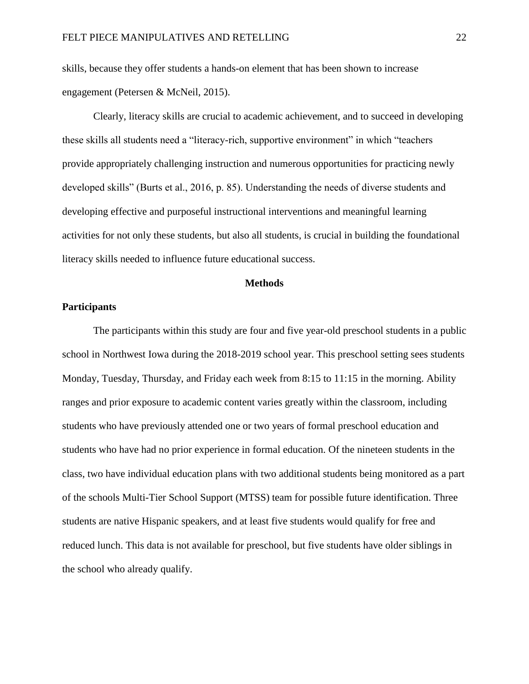skills, because they offer students a hands-on element that has been shown to increase engagement (Petersen & McNeil, 2015).

Clearly, literacy skills are crucial to academic achievement, and to succeed in developing these skills all students need a "literacy-rich, supportive environment" in which "teachers provide appropriately challenging instruction and numerous opportunities for practicing newly developed skills" (Burts et al., 2016, p. 85). Understanding the needs of diverse students and developing effective and purposeful instructional interventions and meaningful learning activities for not only these students, but also all students, is crucial in building the foundational literacy skills needed to influence future educational success.

## **Methods**

# **Participants**

The participants within this study are four and five year-old preschool students in a public school in Northwest Iowa during the 2018-2019 school year. This preschool setting sees students Monday, Tuesday, Thursday, and Friday each week from 8:15 to 11:15 in the morning. Ability ranges and prior exposure to academic content varies greatly within the classroom, including students who have previously attended one or two years of formal preschool education and students who have had no prior experience in formal education. Of the nineteen students in the class, two have individual education plans with two additional students being monitored as a part of the schools Multi-Tier School Support (MTSS) team for possible future identification. Three students are native Hispanic speakers, and at least five students would qualify for free and reduced lunch. This data is not available for preschool, but five students have older siblings in the school who already qualify.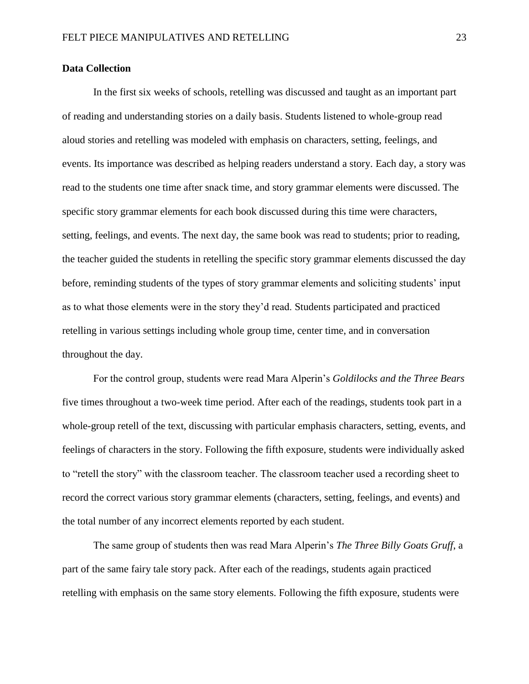# **Data Collection**

In the first six weeks of schools, retelling was discussed and taught as an important part of reading and understanding stories on a daily basis. Students listened to whole-group read aloud stories and retelling was modeled with emphasis on characters, setting, feelings, and events. Its importance was described as helping readers understand a story. Each day, a story was read to the students one time after snack time, and story grammar elements were discussed. The specific story grammar elements for each book discussed during this time were characters, setting, feelings, and events. The next day, the same book was read to students; prior to reading, the teacher guided the students in retelling the specific story grammar elements discussed the day before, reminding students of the types of story grammar elements and soliciting students' input as to what those elements were in the story they'd read. Students participated and practiced retelling in various settings including whole group time, center time, and in conversation throughout the day.

For the control group, students were read Mara Alperin's *Goldilocks and the Three Bears* five times throughout a two-week time period. After each of the readings, students took part in a whole-group retell of the text, discussing with particular emphasis characters, setting, events, and feelings of characters in the story. Following the fifth exposure, students were individually asked to "retell the story" with the classroom teacher. The classroom teacher used a recording sheet to record the correct various story grammar elements (characters, setting, feelings, and events) and the total number of any incorrect elements reported by each student.

The same group of students then was read Mara Alperin's *The Three Billy Goats Gruff*, a part of the same fairy tale story pack. After each of the readings, students again practiced retelling with emphasis on the same story elements. Following the fifth exposure, students were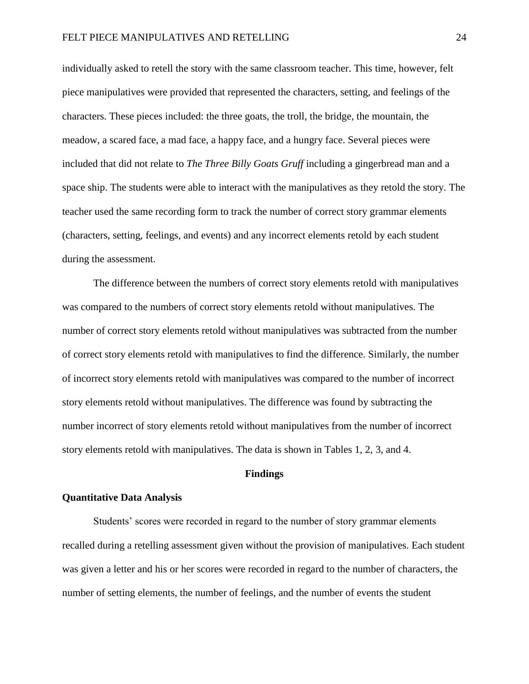individually asked to retell the story with the same classroom teacher. This time, however, felt piece manipulatives were provided that represented the characters, setting, and feelings of the characters. These pieces included: the three goats, the troll, the bridge, the mountain, the meadow, a scared face, a mad face, a happy face, and a hungry face. Several pieces were included that did not relate to *The Three Billy Goats Gruff* including a gingerbread man and a space ship. The students were able to interact with the manipulatives as they retold the story. The teacher used the same recording form to track the number of correct story grammar elements (characters, setting, feelings, and events) and any incorrect elements retold by each student during the assessment.

The difference between the numbers of correct story elements retold with manipulatives was compared to the numbers of correct story elements retold without manipulatives. The number of correct story elements retold without manipulatives was subtracted from the number of correct story elements retold with manipulatives to find the difference. Similarly, the number of incorrect story elements retold with manipulatives was compared to the number of incorrect story elements retold without manipulatives. The difference was found by subtracting the number incorrect of story elements retold without manipulatives from the number of incorrect story elements retold with manipulatives. The data is shown in Tables 1, 2, 3, and 4.

# **Findings**

#### **Quantitative Data Analysis**

Students' scores were recorded in regard to the number of story grammar elements recalled during a retelling assessment given without the provision of manipulatives. Each student was given a letter and his or her scores were recorded in regard to the number of characters, the number of setting elements, the number of feelings, and the number of events the student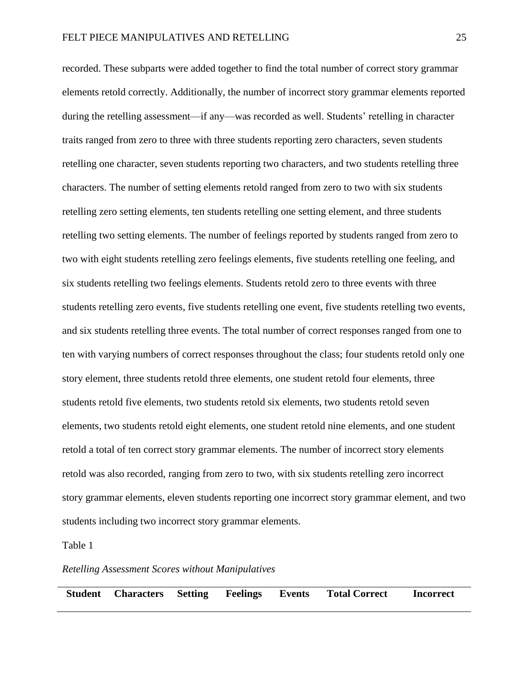recorded. These subparts were added together to find the total number of correct story grammar elements retold correctly. Additionally, the number of incorrect story grammar elements reported during the retelling assessment—if any—was recorded as well. Students' retelling in character traits ranged from zero to three with three students reporting zero characters, seven students retelling one character, seven students reporting two characters, and two students retelling three characters. The number of setting elements retold ranged from zero to two with six students retelling zero setting elements, ten students retelling one setting element, and three students retelling two setting elements. The number of feelings reported by students ranged from zero to two with eight students retelling zero feelings elements, five students retelling one feeling, and six students retelling two feelings elements. Students retold zero to three events with three students retelling zero events, five students retelling one event, five students retelling two events, and six students retelling three events. The total number of correct responses ranged from one to ten with varying numbers of correct responses throughout the class; four students retold only one story element, three students retold three elements, one student retold four elements, three students retold five elements, two students retold six elements, two students retold seven elements, two students retold eight elements, one student retold nine elements, and one student retold a total of ten correct story grammar elements. The number of incorrect story elements retold was also recorded, ranging from zero to two, with six students retelling zero incorrect story grammar elements, eleven students reporting one incorrect story grammar element, and two students including two incorrect story grammar elements.

Table 1

## *Retelling Assessment Scores without Manipulatives*

**Student Characters Setting Feelings Events Total Correct Incorrect**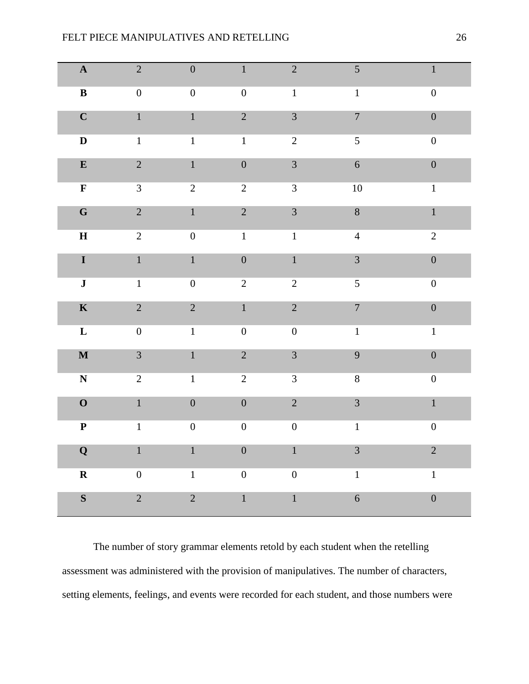| $\mathbf A$             | $\sqrt{2}$       | $\boldsymbol{0}$ | $\mathbf{1}$     | $\sqrt{2}$       | $\mathfrak{S}$   | $\mathbf{1}$     |
|-------------------------|------------------|------------------|------------------|------------------|------------------|------------------|
| $\bf{B}$                | $\boldsymbol{0}$ | $\boldsymbol{0}$ | $\boldsymbol{0}$ | $1\,$            | $\,1\,$          | $\boldsymbol{0}$ |
| $\mathbf C$             | $\mathbf{1}$     | $\mathbf{1}$     | $\overline{2}$   | $\overline{3}$   | $\overline{7}$   | $\boldsymbol{0}$ |
| $\mathbf D$             | $\mathbf 1$      | $\mathbf{1}$     | $\,1$            | $\overline{2}$   | 5                | $\boldsymbol{0}$ |
| $\bf{E}$                | $\overline{2}$   | $\mathbf{1}$     | $\boldsymbol{0}$ | $\overline{3}$   | $\sqrt{6}$       | $\boldsymbol{0}$ |
| $\overline{\mathbf{F}}$ | $\overline{3}$   | $\sqrt{2}$       | $\overline{2}$   | $\overline{3}$   | 10               | $\,1\,$          |
| ${\bf G}$               | $\overline{2}$   | $1\,$            | $\overline{2}$   | $\mathfrak{Z}$   | $8\,$            | $\,1\,$          |
| $\mathbf H$             | $\overline{2}$   | $\boldsymbol{0}$ | $\,1\,$          | $\,1\,$          | $\overline{4}$   | $\overline{2}$   |
| $\mathbf I$             | $\mathbf 1$      | $\mathbf 1$      | $\boldsymbol{0}$ | $\mathbf 1$      | $\overline{3}$   | $\boldsymbol{0}$ |
| $\bf J$                 | $1\,$            | $\boldsymbol{0}$ | $\overline{2}$   | $\sqrt{2}$       | $\mathfrak{S}$   | $\boldsymbol{0}$ |
| $\mathbf K$             | $\overline{2}$   | $\sqrt{2}$       | $\mathbf 1$      | $\overline{2}$   | $\boldsymbol{7}$ | $\boldsymbol{0}$ |
| $\mathbf L$             | $\boldsymbol{0}$ | $\mathbf{1}$     | $\boldsymbol{0}$ | $\boldsymbol{0}$ | $\,1$            | $\mathbf{1}$     |
| $\mathbf M$             | $\overline{3}$   | $\mathbf{1}$     | $\overline{2}$   | $\overline{3}$   | 9                | $\boldsymbol{0}$ |
| $\overline{\textbf{N}}$ | $\overline{2}$   | $\mathbf{1}$     | $\overline{2}$   | $\overline{3}$   | $\overline{8}$   | $\boldsymbol{0}$ |
| $\mathbf 0$             | $\mathbf{1}$     | $\boldsymbol{0}$ | $\boldsymbol{0}$ | $\overline{2}$   | $\overline{3}$   | $\mathbf 1$      |
| ${\bf P}$               | $\,1$            | $\boldsymbol{0}$ | $\boldsymbol{0}$ | $\boldsymbol{0}$ | $\,1\,$          | $\boldsymbol{0}$ |
| $\bf{Q}$                | $\mathbf 1$      | $\mathbf{1}$     | $\boldsymbol{0}$ | $\mathbf 1$      | $\overline{3}$   | $\overline{2}$   |
| $\mathbf R$             | $\boldsymbol{0}$ | $1\,$            | $\boldsymbol{0}$ | $\boldsymbol{0}$ | $\,1\,$          | $1\,$            |
| $\mathbf S$             | $\overline{2}$   | $\overline{2}$   | $\mathbf{1}$     | $\mathbf 1$      | $\overline{6}$   | $\boldsymbol{0}$ |

The number of story grammar elements retold by each student when the retelling assessment was administered with the provision of manipulatives. The number of characters, setting elements, feelings, and events were recorded for each student, and those numbers were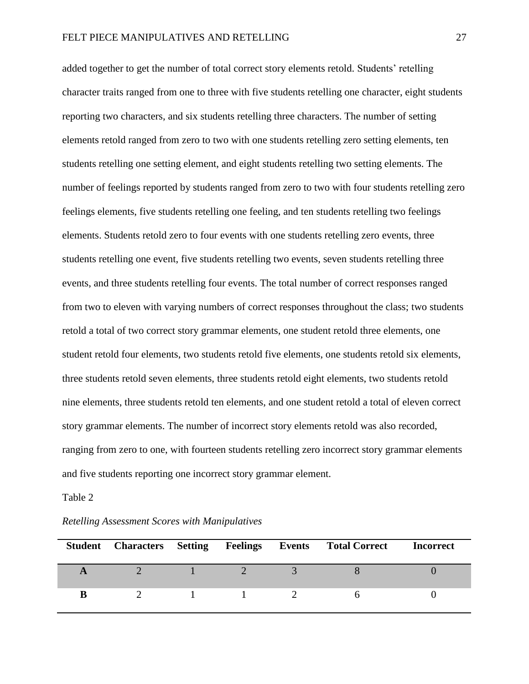added together to get the number of total correct story elements retold. Students' retelling character traits ranged from one to three with five students retelling one character, eight students reporting two characters, and six students retelling three characters. The number of setting elements retold ranged from zero to two with one students retelling zero setting elements, ten students retelling one setting element, and eight students retelling two setting elements. The number of feelings reported by students ranged from zero to two with four students retelling zero feelings elements, five students retelling one feeling, and ten students retelling two feelings elements. Students retold zero to four events with one students retelling zero events, three students retelling one event, five students retelling two events, seven students retelling three events, and three students retelling four events. The total number of correct responses ranged from two to eleven with varying numbers of correct responses throughout the class; two students retold a total of two correct story grammar elements, one student retold three elements, one student retold four elements, two students retold five elements, one students retold six elements, three students retold seven elements, three students retold eight elements, two students retold nine elements, three students retold ten elements, and one student retold a total of eleven correct story grammar elements. The number of incorrect story elements retold was also recorded, ranging from zero to one, with fourteen students retelling zero incorrect story grammar elements and five students reporting one incorrect story grammar element.

#### Table 2

*Retelling Assessment Scores with Manipulatives*

|   |  |                                                                                 | Student Characters Setting Feelings Events Total Correct | <b>Incorrect</b> |
|---|--|---------------------------------------------------------------------------------|----------------------------------------------------------|------------------|
|   |  |                                                                                 |                                                          |                  |
| B |  | the contract of the contract of the contract of the contract of the contract of |                                                          |                  |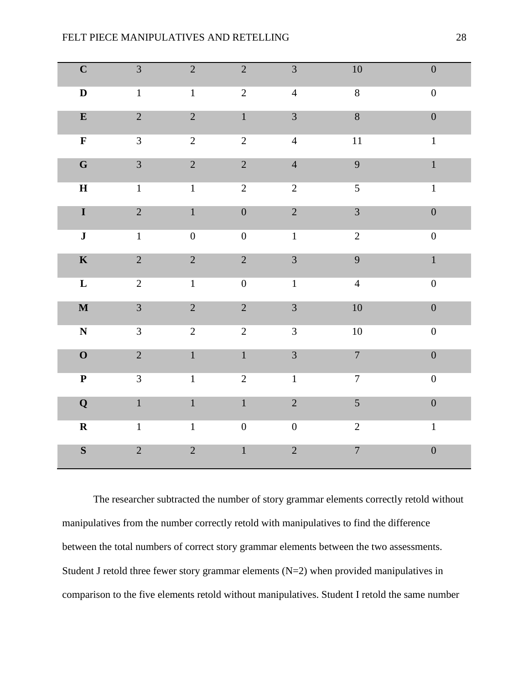| $\mathbf C$               | $\mathfrak{Z}$ | $\overline{2}$   | $\overline{c}$   | $\mathfrak{Z}$   | 10               | $\boldsymbol{0}$ |
|---------------------------|----------------|------------------|------------------|------------------|------------------|------------------|
| $\mathbf D$               | $\mathbf 1$    | $1\,$            | $\overline{2}$   | $\overline{4}$   | $8\,$            | $\boldsymbol{0}$ |
| ${\bf E}$                 | $\sqrt{2}$     | $\sqrt{2}$       | $\mathbf 1$      | $\mathfrak{Z}$   | $\bf 8$          | $\boldsymbol{0}$ |
| $\overline{\mathbf{F}}$   | $\overline{3}$ | $\sqrt{2}$       | $\overline{2}$   | $\overline{4}$   | 11               | $\,1\,$          |
| $\mathbf G$               | $\overline{3}$ | $\sqrt{2}$       | $\overline{2}$   | $\overline{4}$   | $\overline{9}$   | $\mathbf 1$      |
| $\bf H$                   | $\,1$          | $\mathbf 1$      | $\overline{2}$   | $\overline{2}$   | 5                | $\,1\,$          |
| $\mathbf I$               | $\overline{2}$ | $\mathbf{1}$     | $\boldsymbol{0}$ | $\overline{2}$   | $\overline{3}$   | $\boldsymbol{0}$ |
| $\mathbf J$               | $\mathbf 1$    | $\boldsymbol{0}$ | $\boldsymbol{0}$ | $\mathbf{1}$     | $\overline{c}$   | $\boldsymbol{0}$ |
| $\mathbf K$               | $\overline{2}$ | $\overline{2}$   | $\overline{2}$   | $\overline{3}$   | 9                | $\mathbf 1$      |
| $\mathbf L$               | $\sqrt{2}$     | $\mathbf{1}$     | $\boldsymbol{0}$ | $\mathbf{1}$     | $\overline{4}$   | $\boldsymbol{0}$ |
| $\mathbf M$               | $\overline{3}$ | $\overline{2}$   | $\overline{c}$   | 3                | $10\,$           | $\boldsymbol{0}$ |
| ${\bf N}$                 | $\mathfrak{Z}$ | $\sqrt{2}$       | $\overline{c}$   | $\mathfrak{Z}$   | $10\,$           | $\boldsymbol{0}$ |
| $\boldsymbol{O}$          | $\overline{2}$ | $\mathbf{1}$     | $\mathbf{1}$     | $\overline{3}$   | $\overline{7}$   | $\boldsymbol{0}$ |
| $\boldsymbol{\mathrm{P}}$ | $\mathfrak{Z}$ | $\mathbf{1}$     | $\mathbf{2}$     | $\mathbf{1}$     | $\boldsymbol{7}$ | $\boldsymbol{0}$ |
| $\bf{Q}$                  | $\overline{1}$ | $\mathbf{1}$     | $\mathbf{1}$     | $\overline{2}$   | $\mathfrak{S}$   | $\boldsymbol{0}$ |
| $\mathbf R$               | $\mathbf{1}$   | $\,1\,$          | $\boldsymbol{0}$ | $\boldsymbol{0}$ | $\sqrt{2}$       | $\mathbf{1}$     |
| $\mathbf S$               | $\overline{2}$ | $\overline{2}$   | $\mathbf 1$      | $\overline{c}$   | $\overline{7}$   | $\boldsymbol{0}$ |

The researcher subtracted the number of story grammar elements correctly retold without manipulatives from the number correctly retold with manipulatives to find the difference between the total numbers of correct story grammar elements between the two assessments. Student J retold three fewer story grammar elements  $(N=2)$  when provided manipulatives in comparison to the five elements retold without manipulatives. Student I retold the same number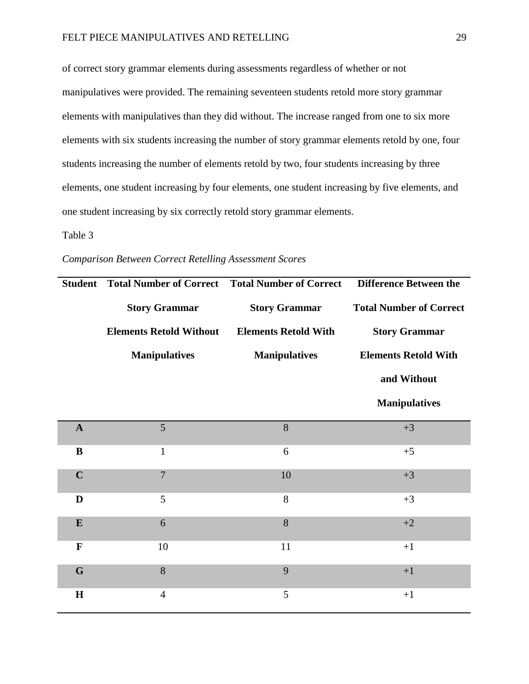# FELT PIECE MANIPULATIVES AND RETELLING 29

of correct story grammar elements during assessments regardless of whether or not manipulatives were provided. The remaining seventeen students retold more story grammar elements with manipulatives than they did without. The increase ranged from one to six more elements with six students increasing the number of story grammar elements retold by one, four students increasing the number of elements retold by two, four students increasing by three elements, one student increasing by four elements, one student increasing by five elements, and one student increasing by six correctly retold story grammar elements.

# Table 3

# *Comparison Between Correct Retelling Assessment Scores*

| <b>Student</b> |                                | <b>Total Number of Correct</b> Total Number of Correct | <b>Difference Between the</b>  |
|----------------|--------------------------------|--------------------------------------------------------|--------------------------------|
|                | <b>Story Grammar</b>           | <b>Story Grammar</b>                                   | <b>Total Number of Correct</b> |
|                | <b>Elements Retold Without</b> | <b>Elements Retold With</b>                            | <b>Story Grammar</b>           |
|                | <b>Manipulatives</b>           | <b>Manipulatives</b>                                   | <b>Elements Retold With</b>    |
|                |                                |                                                        | and Without                    |
|                |                                |                                                        | <b>Manipulatives</b>           |
| $\mathbf{A}$   | 5                              | 8                                                      | $+3$                           |
| B              | $\mathbf{1}$                   | 6                                                      | $+5$                           |
| $\mathbf C$    | $\overline{7}$                 | 10                                                     | $+3$                           |
| D              | 5                              | 8                                                      | $+3$                           |
| $\mathbf E$    | 6                              | 8                                                      | $+2$                           |
| $\mathbf F$    | 10                             | 11                                                     | $+1$                           |
| G              | 8                              | 9                                                      | $+1$                           |
| H              | $\overline{4}$                 | 5                                                      | $+1$                           |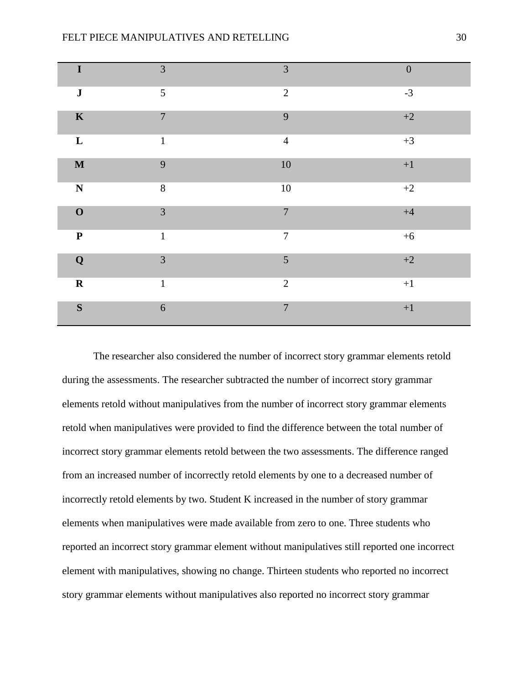| $\mathbf I$ | 3              | 3                | $\boldsymbol{0}$ |
|-------------|----------------|------------------|------------------|
| $\bf J$     | 5              | $\overline{2}$   | $-3$             |
| $\mathbf K$ | $\overline{7}$ | 9                | $+2$             |
| $\mathbf L$ | $\mathbf{1}$   | $\overline{4}$   | $+3$             |
| $\mathbf M$ | 9              | $10\,$           | $\bf{+1}$        |
| $\mathbf N$ | $8\,$          | $10\,$           | $+2$             |
| $\mathbf 0$ | $\overline{3}$ | $\overline{7}$   | $+4$             |
| $\mathbf P$ | $\mathbf{1}$   | $\boldsymbol{7}$ | $+6$             |
| $\mathbf Q$ | $\overline{3}$ | 5                | $+2$             |
| $\mathbf R$ | $\mathbf{1}$   | $\overline{2}$   | $\bf{+1}$        |
| $\mathbf S$ | $\sqrt{6}$     | $\overline{7}$   | $\bf{+1}$        |

The researcher also considered the number of incorrect story grammar elements retold during the assessments. The researcher subtracted the number of incorrect story grammar elements retold without manipulatives from the number of incorrect story grammar elements retold when manipulatives were provided to find the difference between the total number of incorrect story grammar elements retold between the two assessments. The difference ranged from an increased number of incorrectly retold elements by one to a decreased number of incorrectly retold elements by two. Student K increased in the number of story grammar elements when manipulatives were made available from zero to one. Three students who reported an incorrect story grammar element without manipulatives still reported one incorrect element with manipulatives, showing no change. Thirteen students who reported no incorrect story grammar elements without manipulatives also reported no incorrect story grammar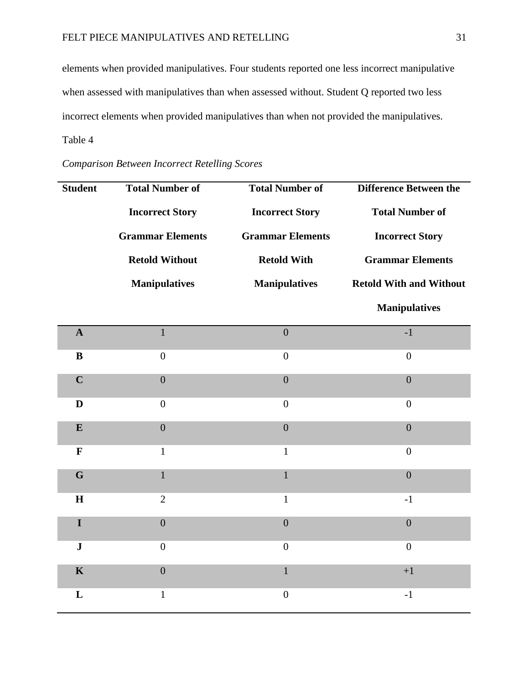elements when provided manipulatives. Four students reported one less incorrect manipulative when assessed with manipulatives than when assessed without. Student Q reported two less incorrect elements when provided manipulatives than when not provided the manipulatives. Table 4

| <b>Student</b> | <b>Total Number of</b>  | <b>Total Number of</b>  | <b>Difference Between the</b>  |
|----------------|-------------------------|-------------------------|--------------------------------|
|                | <b>Incorrect Story</b>  | <b>Incorrect Story</b>  | <b>Total Number of</b>         |
|                | <b>Grammar Elements</b> | <b>Grammar Elements</b> | <b>Incorrect Story</b>         |
|                | <b>Retold Without</b>   | <b>Retold With</b>      | <b>Grammar Elements</b>        |
|                | <b>Manipulatives</b>    | <b>Manipulatives</b>    | <b>Retold With and Without</b> |
|                |                         |                         | <b>Manipulatives</b>           |
| $\mathbf{A}$   | $\mathbf{1}$            | $\overline{0}$          | $-1$                           |
| $\bf{B}$       | $\overline{0}$          | $\overline{0}$          | $\boldsymbol{0}$               |
| $\mathbf C$    | $\overline{0}$          | $\overline{0}$          | $\overline{0}$                 |
| D              | $\overline{0}$          | $\boldsymbol{0}$        | $\boldsymbol{0}$               |
| ${\bf E}$      | $\mathbf{0}$            | $\overline{0}$          | $\overline{0}$                 |
| $\mathbf F$    | $\mathbf{1}$            | $\mathbf{1}$            | $\overline{0}$                 |
| G              | $\mathbf{1}$            | $\mathbf{1}$            | $\overline{0}$                 |
| H              | $\overline{2}$          | $\mathbf{1}$            | $-1$                           |
| $\mathbf I$    | $\boldsymbol{0}$        | $\overline{0}$          | $\overline{0}$                 |
| ${\bf J}$      | $\overline{0}$          | $\overline{0}$          | $\boldsymbol{0}$               |
| $\mathbf K$    | $\boldsymbol{0}$        | $\mathbf 1$             | $+1$                           |
| L              | $\mathbf{1}$            | $\overline{0}$          | $-1$                           |

*Comparison Between Incorrect Retelling Scores*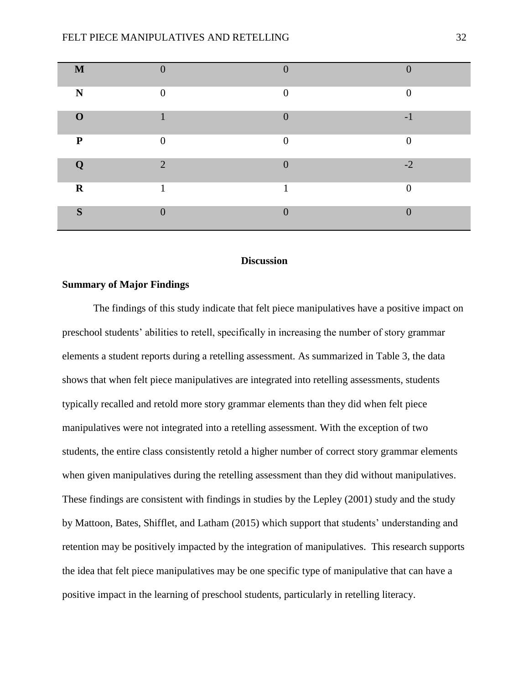| M           |          | $\Omega$       |          |
|-------------|----------|----------------|----------|
| N           | $\Omega$ | $\theta$       | $\theta$ |
| $\Omega$    |          | $\Omega$       | $-1$     |
| P           | ⋂        | $\Omega$       | $\theta$ |
|             | $\Omega$ | $\overline{0}$ | $-2$     |
| $\mathbf R$ | и        | 1              | $\theta$ |
| S           |          | $\overline{0}$ | $\cap$   |

# **Discussion**

# **Summary of Major Findings**

The findings of this study indicate that felt piece manipulatives have a positive impact on preschool students' abilities to retell, specifically in increasing the number of story grammar elements a student reports during a retelling assessment. As summarized in Table 3, the data shows that when felt piece manipulatives are integrated into retelling assessments, students typically recalled and retold more story grammar elements than they did when felt piece manipulatives were not integrated into a retelling assessment. With the exception of two students, the entire class consistently retold a higher number of correct story grammar elements when given manipulatives during the retelling assessment than they did without manipulatives. These findings are consistent with findings in studies by the Lepley (2001) study and the study by Mattoon, Bates, Shifflet, and Latham (2015) which support that students' understanding and retention may be positively impacted by the integration of manipulatives. This research supports the idea that felt piece manipulatives may be one specific type of manipulative that can have a positive impact in the learning of preschool students, particularly in retelling literacy.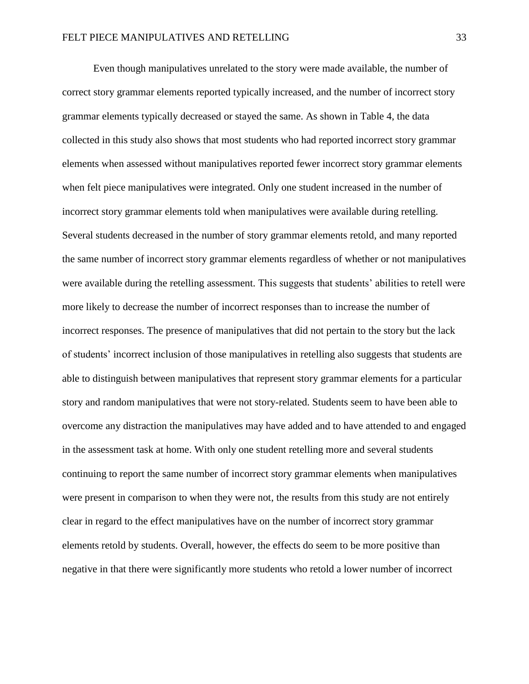Even though manipulatives unrelated to the story were made available, the number of correct story grammar elements reported typically increased, and the number of incorrect story grammar elements typically decreased or stayed the same. As shown in Table 4, the data collected in this study also shows that most students who had reported incorrect story grammar elements when assessed without manipulatives reported fewer incorrect story grammar elements when felt piece manipulatives were integrated. Only one student increased in the number of incorrect story grammar elements told when manipulatives were available during retelling. Several students decreased in the number of story grammar elements retold, and many reported the same number of incorrect story grammar elements regardless of whether or not manipulatives were available during the retelling assessment. This suggests that students' abilities to retell were more likely to decrease the number of incorrect responses than to increase the number of incorrect responses. The presence of manipulatives that did not pertain to the story but the lack of students' incorrect inclusion of those manipulatives in retelling also suggests that students are able to distinguish between manipulatives that represent story grammar elements for a particular story and random manipulatives that were not story-related. Students seem to have been able to overcome any distraction the manipulatives may have added and to have attended to and engaged in the assessment task at home. With only one student retelling more and several students continuing to report the same number of incorrect story grammar elements when manipulatives were present in comparison to when they were not, the results from this study are not entirely clear in regard to the effect manipulatives have on the number of incorrect story grammar elements retold by students. Overall, however, the effects do seem to be more positive than negative in that there were significantly more students who retold a lower number of incorrect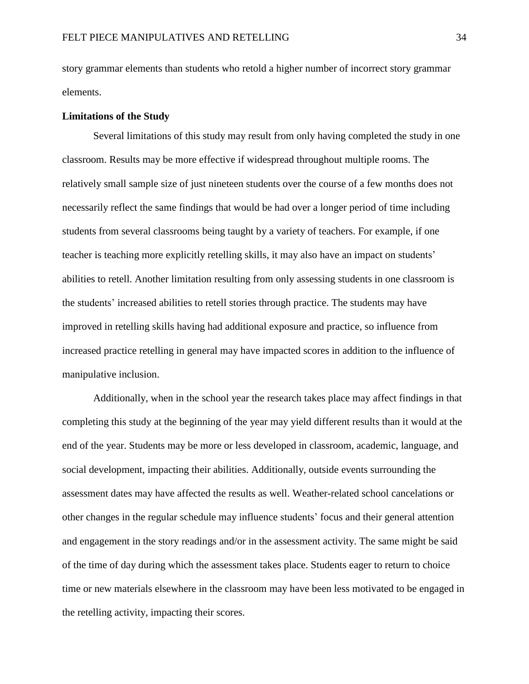story grammar elements than students who retold a higher number of incorrect story grammar elements.

#### **Limitations of the Study**

Several limitations of this study may result from only having completed the study in one classroom. Results may be more effective if widespread throughout multiple rooms. The relatively small sample size of just nineteen students over the course of a few months does not necessarily reflect the same findings that would be had over a longer period of time including students from several classrooms being taught by a variety of teachers. For example, if one teacher is teaching more explicitly retelling skills, it may also have an impact on students' abilities to retell. Another limitation resulting from only assessing students in one classroom is the students' increased abilities to retell stories through practice. The students may have improved in retelling skills having had additional exposure and practice, so influence from increased practice retelling in general may have impacted scores in addition to the influence of manipulative inclusion.

Additionally, when in the school year the research takes place may affect findings in that completing this study at the beginning of the year may yield different results than it would at the end of the year. Students may be more or less developed in classroom, academic, language, and social development, impacting their abilities. Additionally, outside events surrounding the assessment dates may have affected the results as well. Weather-related school cancelations or other changes in the regular schedule may influence students' focus and their general attention and engagement in the story readings and/or in the assessment activity. The same might be said of the time of day during which the assessment takes place. Students eager to return to choice time or new materials elsewhere in the classroom may have been less motivated to be engaged in the retelling activity, impacting their scores.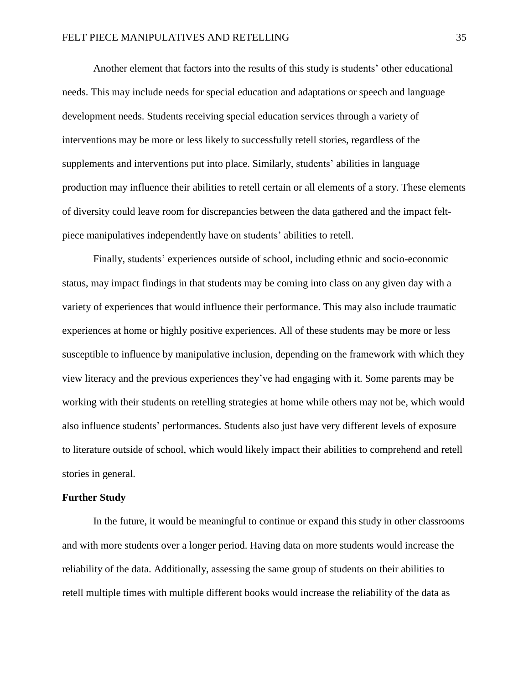Another element that factors into the results of this study is students' other educational needs. This may include needs for special education and adaptations or speech and language development needs. Students receiving special education services through a variety of interventions may be more or less likely to successfully retell stories, regardless of the supplements and interventions put into place. Similarly, students' abilities in language production may influence their abilities to retell certain or all elements of a story. These elements of diversity could leave room for discrepancies between the data gathered and the impact feltpiece manipulatives independently have on students' abilities to retell.

Finally, students' experiences outside of school, including ethnic and socio-economic status, may impact findings in that students may be coming into class on any given day with a variety of experiences that would influence their performance. This may also include traumatic experiences at home or highly positive experiences. All of these students may be more or less susceptible to influence by manipulative inclusion, depending on the framework with which they view literacy and the previous experiences they've had engaging with it. Some parents may be working with their students on retelling strategies at home while others may not be, which would also influence students' performances. Students also just have very different levels of exposure to literature outside of school, which would likely impact their abilities to comprehend and retell stories in general.

#### **Further Study**

In the future, it would be meaningful to continue or expand this study in other classrooms and with more students over a longer period. Having data on more students would increase the reliability of the data. Additionally, assessing the same group of students on their abilities to retell multiple times with multiple different books would increase the reliability of the data as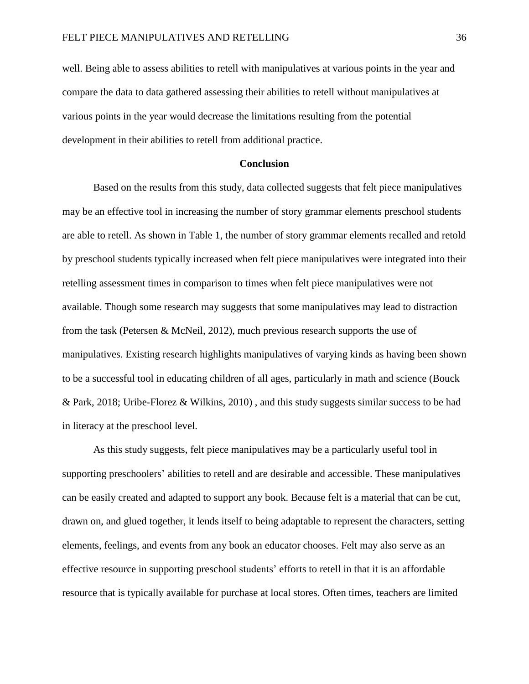well. Being able to assess abilities to retell with manipulatives at various points in the year and compare the data to data gathered assessing their abilities to retell without manipulatives at various points in the year would decrease the limitations resulting from the potential development in their abilities to retell from additional practice.

#### **Conclusion**

Based on the results from this study, data collected suggests that felt piece manipulatives may be an effective tool in increasing the number of story grammar elements preschool students are able to retell. As shown in Table 1, the number of story grammar elements recalled and retold by preschool students typically increased when felt piece manipulatives were integrated into their retelling assessment times in comparison to times when felt piece manipulatives were not available. Though some research may suggests that some manipulatives may lead to distraction from the task (Petersen & McNeil, 2012), much previous research supports the use of manipulatives. Existing research highlights manipulatives of varying kinds as having been shown to be a successful tool in educating children of all ages, particularly in math and science (Bouck & Park, 2018; Uribe-Florez & Wilkins, 2010) , and this study suggests similar success to be had in literacy at the preschool level.

As this study suggests, felt piece manipulatives may be a particularly useful tool in supporting preschoolers' abilities to retell and are desirable and accessible. These manipulatives can be easily created and adapted to support any book. Because felt is a material that can be cut, drawn on, and glued together, it lends itself to being adaptable to represent the characters, setting elements, feelings, and events from any book an educator chooses. Felt may also serve as an effective resource in supporting preschool students' efforts to retell in that it is an affordable resource that is typically available for purchase at local stores. Often times, teachers are limited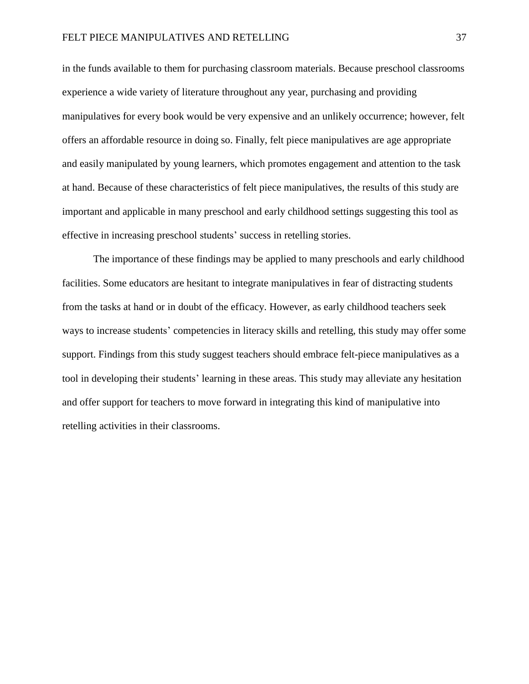in the funds available to them for purchasing classroom materials. Because preschool classrooms experience a wide variety of literature throughout any year, purchasing and providing manipulatives for every book would be very expensive and an unlikely occurrence; however, felt offers an affordable resource in doing so. Finally, felt piece manipulatives are age appropriate and easily manipulated by young learners, which promotes engagement and attention to the task at hand. Because of these characteristics of felt piece manipulatives, the results of this study are important and applicable in many preschool and early childhood settings suggesting this tool as effective in increasing preschool students' success in retelling stories.

The importance of these findings may be applied to many preschools and early childhood facilities. Some educators are hesitant to integrate manipulatives in fear of distracting students from the tasks at hand or in doubt of the efficacy. However, as early childhood teachers seek ways to increase students' competencies in literacy skills and retelling, this study may offer some support. Findings from this study suggest teachers should embrace felt-piece manipulatives as a tool in developing their students' learning in these areas. This study may alleviate any hesitation and offer support for teachers to move forward in integrating this kind of manipulative into retelling activities in their classrooms.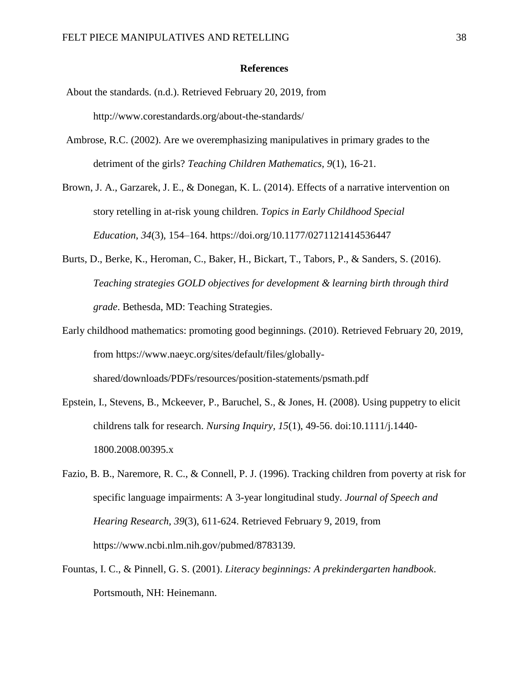#### **References**

- About the standards. (n.d.). Retrieved February 20, 2019, from http://www.corestandards.org/about-the-standards/
- Ambrose, R.C. (2002). Are we overemphasizing manipulatives in primary grades to the detriment of the girls? *Teaching Children Mathematics, 9*(1), 16-21.

Brown, J. A., Garzarek, J. E., & Donegan, K. L. (2014). Effects of a narrative intervention on story retelling in at-risk young children. *Topics in Early Childhood Special Education*, *34*(3), 154–164. https://doi.org/10.1177/0271121414536447

- Burts, D., Berke, K., Heroman, C., Baker, H., Bickart, T., Tabors, P., & Sanders, S. (2016). *Teaching strategies GOLD objectives for development & learning birth through third grade*. Bethesda, MD: Teaching Strategies.
- Early childhood mathematics: promoting good beginnings. (2010). Retrieved February 20, 2019, from https://www.naeyc.org/sites/default/files/globallyshared/downloads/PDFs/resources/position-statements/psmath.pdf
- Epstein, I., Stevens, B., Mckeever, P., Baruchel, S., & Jones, H. (2008). Using puppetry to elicit childrens talk for research. *Nursing Inquiry, 15*(1), 49-56. doi:10.1111/j.1440- 1800.2008.00395.x
- Fazio, B. B., Naremore, R. C., & Connell, P. J. (1996). Tracking children from poverty at risk for specific language impairments: A 3-year longitudinal study. *Journal of Speech and Hearing Research, 39*(3), 611-624. Retrieved February 9, 2019, from https://www.ncbi.nlm.nih.gov/pubmed/8783139.
- Fountas, I. C., & Pinnell, G. S. (2001). *Literacy beginnings: A prekindergarten handbook*. Portsmouth, NH: Heinemann.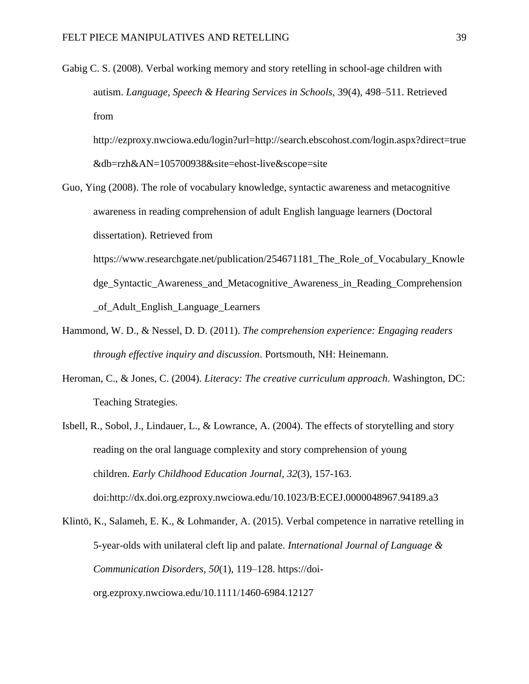Gabig C. S. (2008). Verbal working memory and story retelling in school-age children with autism. *Language, Speech & Hearing Services in Schools,* 39(4), 498–511. Retrieved from

http://ezproxy.nwciowa.edu/login?url=http://search.ebscohost.com/login.aspx?direct=true &db=rzh&AN=105700938&site=ehost-live&scope=site

- Guo, Ying (2008). The role of vocabulary knowledge, syntactic awareness and metacognitive awareness in reading comprehension of adult English language learners (Doctoral dissertation). Retrieved from https://www.researchgate.net/publication/254671181 The Role of Vocabulary Knowle dge\_Syntactic\_Awareness\_and\_Metacognitive\_Awareness\_in\_Reading\_Comprehension \_of\_Adult\_English\_Language\_Learners
- Hammond, W. D., & Nessel, D. D. (2011). *The comprehension experience: Engaging readers through effective inquiry and discussion*. Portsmouth, NH: Heinemann.
- Heroman, C., & Jones, C. (2004). *Literacy: The creative curriculum approach*. Washington, DC: Teaching Strategies.
- Isbell, R., Sobol, J., Lindauer, L., & Lowrance, A. (2004). The effects of storytelling and story reading on the oral language complexity and story comprehension of young children. *Early Childhood Education Journal, 32*(3), 157-163. doi:http://dx.doi.org.ezproxy.nwciowa.edu/10.1023/B:ECEJ.0000048967.94189.a3

Klintö, K., Salameh, E. K., & Lohmander, A. (2015). Verbal competence in narrative retelling in 5-year-olds with unilateral cleft lip and palate. *International Journal of Language & Communication Disorders*, *50*(1), 119–128. https://doiorg.ezproxy.nwciowa.edu/10.1111/1460-6984.12127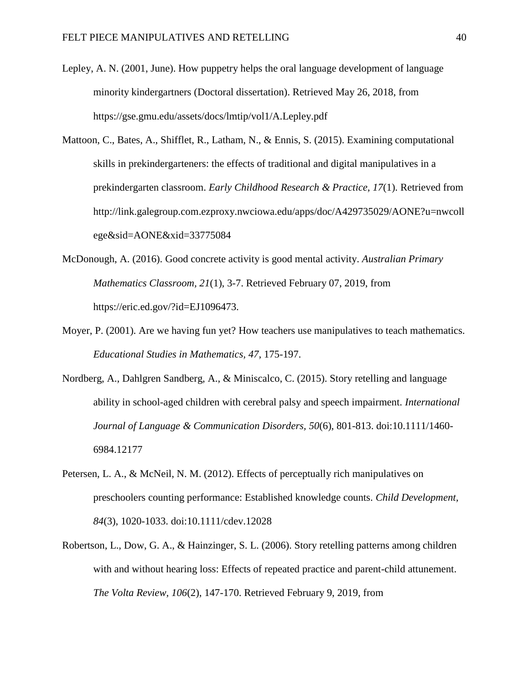- Lepley, A. N. (2001, June). How puppetry helps the oral language development of language minority kindergartners (Doctoral dissertation). Retrieved May 26, 2018, from https://gse.gmu.edu/assets/docs/lmtip/vol1/A.Lepley.pdf
- Mattoon, C., Bates, A., Shifflet, R., Latham, N., & Ennis, S. (2015). Examining computational skills in prekindergarteners: the effects of traditional and digital manipulatives in a prekindergarten classroom. *Early Childhood Research & Practice, 17*(1). Retrieved from http://link.galegroup.com.ezproxy.nwciowa.edu/apps/doc/A429735029/AONE?u=nwcoll ege&sid=AONE&xid=33775084
- McDonough, A. (2016). Good concrete activity is good mental activity. *Australian Primary Mathematics Classroom, 21*(1), 3-7. Retrieved February 07, 2019, from https://eric.ed.gov/?id=EJ1096473.
- Moyer, P. (2001). Are we having fun yet? How teachers use manipulatives to teach mathematics. *Educational Studies in Mathematics, 47*, 175-197.
- Nordberg, A., Dahlgren Sandberg, A., & Miniscalco, C. (2015). Story retelling and language ability in school-aged children with cerebral palsy and speech impairment. *International Journal of Language & Communication Disorders, 50*(6), 801-813. doi:10.1111/1460- 6984.12177
- Petersen, L. A., & McNeil, N. M. (2012). Effects of perceptually rich manipulatives on preschoolers counting performance: Established knowledge counts. *Child Development, 84*(3), 1020-1033. doi:10.1111/cdev.12028
- Robertson, L., Dow, G. A., & Hainzinger, S. L. (2006). Story retelling patterns among children with and without hearing loss: Effects of repeated practice and parent-child attunement. *The Volta Review, 106*(2), 147-170. Retrieved February 9, 2019, from